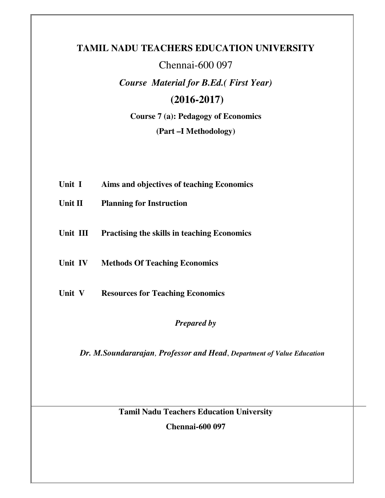# **TAMIL NADU TEACHERS EDUCATION UNIVERSITY**

# Chennai-600 097

*Course Material for B.Ed.( First Year)* 

# **(2016-2017)**

**Course 7 (a): Pedagogy of Economics** 

**(Part –I Methodology)** 

- **Unit I Aims and objectives of teaching Economics**
- **Unit II Planning for Instruction**
- **Unit III Practising the skills in teaching Economics**
- **Unit IV Methods Of Teaching Economics**
- **Unit V Resources for Teaching Economics**

# *Prepared by*

*Dr. M.Soundararajan, Professor and Head*, *Department of Value Education* 

**Tamil Nadu Teachers Education University** 

**Chennai-600 097**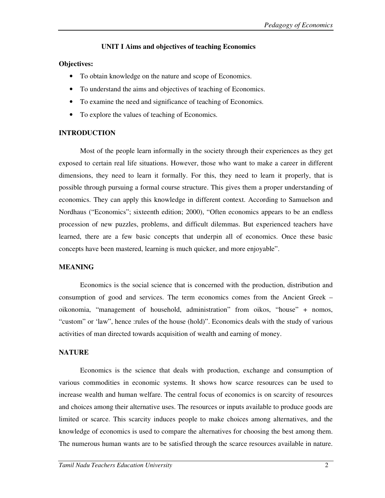### **UNIT I Aims and objectives of teaching Economics**

### **Objectives:**

- To obtain knowledge on the nature and scope of Economics.
- To understand the aims and objectives of teaching of Economics.
- To examine the need and significance of teaching of Economics.
- To explore the values of teaching of Economics.

## **INTRODUCTION**

Most of the people learn informally in the society through their experiences as they get exposed to certain real life situations. However, those who want to make a career in different dimensions, they need to learn it formally. For this, they need to learn it properly, that is possible through pursuing a formal course structure. This gives them a proper understanding of economics. They can apply this knowledge in different context. According to Samuelson and Nordhaus ("Economics"; sixteenth edition; 2000), "Often economics appears to be an endless procession of new puzzles, problems, and difficult dilemmas. But experienced teachers have learned, there are a few basic concepts that underpin all of economics. Once these basic concepts have been mastered, learning is much quicker, and more enjoyable".

## **MEANING**

Economics is the social science that is concerned with the production, distribution and consumption of good and services. The term economics comes from the Ancient Greek – oikonomia, "management of household, administration" from oikos, "house" + nomos, "custom" or 'law", hence :rules of the house (hold)". Economics deals with the study of various activities of man directed towards acquisition of wealth and earning of money.

## **NATURE**

Economics is the science that deals with production, exchange and consumption of various commodities in economic systems. It shows how scarce resources can be used to increase wealth and human welfare. The central focus of economics is on scarcity of resources and choices among their alternative uses. The resources or inputs available to produce goods are limited or scarce. This scarcity induces people to make choices among alternatives, and the knowledge of economics is used to compare the alternatives for choosing the best among them. The numerous human wants are to be satisfied through the scarce resources available in nature.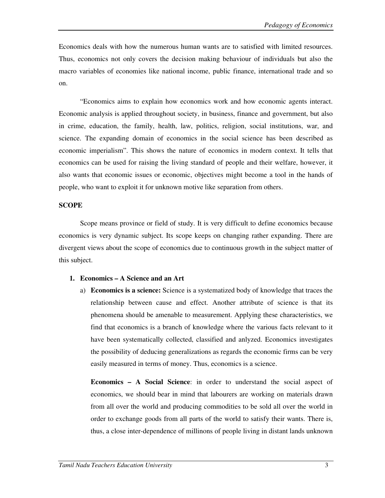Economics deals with how the numerous human wants are to satisfied with limited resources. Thus, economics not only covers the decision making behaviour of individuals but also the macro variables of economies like national income, public finance, international trade and so on.

"Economics aims to explain how economics work and how economic agents interact. Economic analysis is applied throughout society, in business, finance and government, but also in crime, education, the family, health, law, politics, religion, social institutions, war, and science. The expanding domain of economics in the social science has been described as economic imperialism". This shows the nature of economics in modern context. It tells that economics can be used for raising the living standard of people and their welfare, however, it also wants that economic issues or economic, objectives might become a tool in the hands of people, who want to exploit it for unknown motive like separation from others.

#### **SCOPE**

Scope means province or field of study. It is very difficult to define economics because economics is very dynamic subject. Its scope keeps on changing rather expanding. There are divergent views about the scope of economics due to continuous growth in the subject matter of this subject.

#### **1. Economics – A Science and an Art**

a) **Economics is a science:** Science is a systematized body of knowledge that traces the relationship between cause and effect. Another attribute of science is that its phenomena should be amenable to measurement. Applying these characteristics, we find that economics is a branch of knowledge where the various facts relevant to it have been systematically collected, classified and anlyzed. Economics investigates the possibility of deducing generalizations as regards the economic firms can be very easily measured in terms of money. Thus, economics is a science.

**Economics – A Social Science**: in order to understand the social aspect of economics, we should bear in mind that labourers are working on materials drawn from all over the world and producing commodities to be sold all over the world in order to exchange goods from all parts of the world to satisfy their wants. There is, thus, a close inter-dependence of millinons of people living in distant lands unknown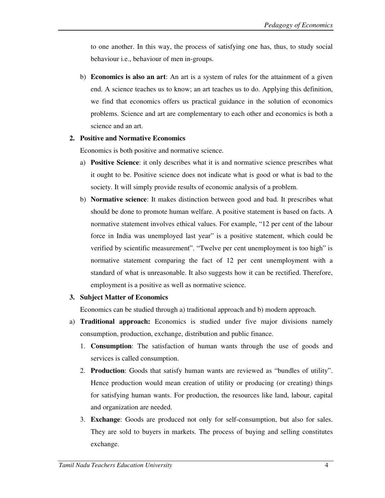to one another. In this way, the process of satisfying one has, thus, to study social behaviour i.e., behaviour of men in-groups.

b) **Economics is also an art**: An art is a system of rules for the attainment of a given end. A science teaches us to know; an art teaches us to do. Applying this definition, we find that economics offers us practical guidance in the solution of economics problems. Science and art are complementary to each other and economics is both a science and an art.

### **2. Positive and Normative Economics**

Economics is both positive and normative science.

- a) **Positive Science**: it only describes what it is and normative science prescribes what it ought to be. Positive science does not indicate what is good or what is bad to the society. It will simply provide results of economic analysis of a problem.
- b) **Normative science**: It makes distinction between good and bad. It prescribes what should be done to promote human welfare. A positive statement is based on facts. A normative statement involves ethical values. For example, "12 per cent of the labour force in India was unemployed last year" is a positive statement, which could be verified by scientific measurement". "Twelve per cent unemployment is too high" is normative statement comparing the fact of 12 per cent unemployment with a standard of what is unreasonable. It also suggests how it can be rectified. Therefore, employment is a positive as well as normative science.

### **3. Subject Matter of Economics**

Economics can be studied through a) traditional approach and b) modern approach.

- a) **Traditional approach:** Economics is studied under five major divisions namely consumption, production, exchange, distribution and public finance.
	- 1. **Consumption**: The satisfaction of human wants through the use of goods and services is called consumption.
	- 2. **Production**: Goods that satisfy human wants are reviewed as "bundles of utility". Hence production would mean creation of utility or producing (or creating) things for satisfying human wants. For production, the resources like land, labour, capital and organization are needed.
	- 3. **Exchange**: Goods are produced not only for self-consumption, but also for sales. They are sold to buyers in markets. The process of buying and selling constitutes exchange.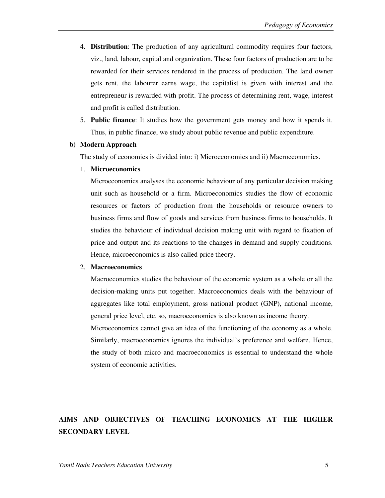- 4. **Distribution**: The production of any agricultural commodity requires four factors, viz., land, labour, capital and organization. These four factors of production are to be rewarded for their services rendered in the process of production. The land owner gets rent, the labourer earns wage, the capitalist is given with interest and the entrepreneur is rewarded with profit. The process of determining rent, wage, interest and profit is called distribution.
- 5. **Public finance**: It studies how the government gets money and how it spends it. Thus, in public finance, we study about public revenue and public expenditure.

#### **b) Modern Approach**

The study of economics is divided into: i) Microeconomics and ii) Macroeconomics.

#### 1. **Microeconomics**

Microeconomics analyses the economic behaviour of any particular decision making unit such as household or a firm. Microeconomics studies the flow of economic resources or factors of production from the households or resource owners to business firms and flow of goods and services from business firms to households. It studies the behaviour of individual decision making unit with regard to fixation of price and output and its reactions to the changes in demand and supply conditions. Hence, microeconomics is also called price theory.

#### 2. **Macroeconomics**

Macroeconomics studies the behaviour of the economic system as a whole or all the decision-making units put together. Macroeconomics deals with the behaviour of aggregates like total employment, gross national product (GNP), national income, general price level, etc. so, macroeconomics is also known as income theory. Microeconomics cannot give an idea of the functioning of the economy as a whole. Similarly, macroeconomics ignores the individual's preference and welfare. Hence, the study of both micro and macroeconomics is essential to understand the whole

system of economic activities.

# **AIMS AND OBJECTIVES OF TEACHING ECONOMICS AT THE HIGHER SECONDARY LEVEL**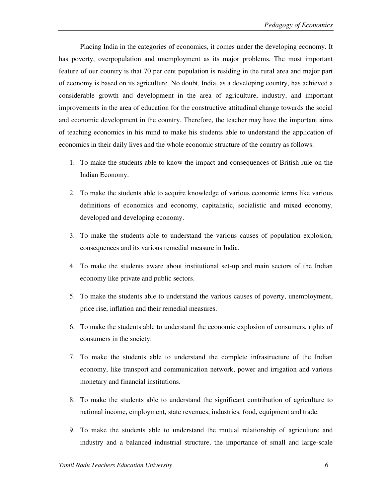Placing India in the categories of economics, it comes under the developing economy. It has poverty, overpopulation and unemployment as its major problems. The most important feature of our country is that 70 per cent population is residing in the rural area and major part of economy is based on its agriculture. No doubt, India, as a developing country, has achieved a considerable growth and development in the area of agriculture, industry, and important improvements in the area of education for the constructive attitudinal change towards the social and economic development in the country. Therefore, the teacher may have the important aims of teaching economics in his mind to make his students able to understand the application of economics in their daily lives and the whole economic structure of the country as follows:

- 1. To make the students able to know the impact and consequences of British rule on the Indian Economy.
- 2. To make the students able to acquire knowledge of various economic terms like various definitions of economics and economy, capitalistic, socialistic and mixed economy, developed and developing economy.
- 3. To make the students able to understand the various causes of population explosion, consequences and its various remedial measure in India.
- 4. To make the students aware about institutional set-up and main sectors of the Indian economy like private and public sectors.
- 5. To make the students able to understand the various causes of poverty, unemployment, price rise, inflation and their remedial measures.
- 6. To make the students able to understand the economic explosion of consumers, rights of consumers in the society.
- 7. To make the students able to understand the complete infrastructure of the Indian economy, like transport and communication network, power and irrigation and various monetary and financial institutions.
- 8. To make the students able to understand the significant contribution of agriculture to national income, employment, state revenues, industries, food, equipment and trade.
- 9. To make the students able to understand the mutual relationship of agriculture and industry and a balanced industrial structure, the importance of small and large-scale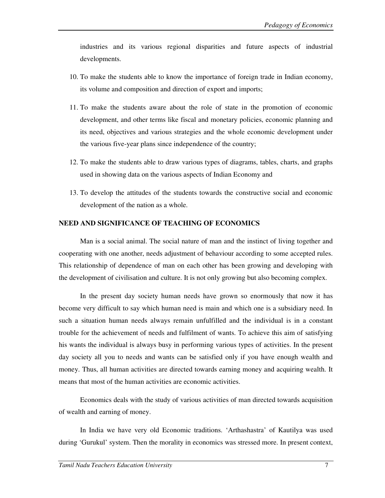industries and its various regional disparities and future aspects of industrial developments.

- 10. To make the students able to know the importance of foreign trade in Indian economy, its volume and composition and direction of export and imports;
- 11. To make the students aware about the role of state in the promotion of economic development, and other terms like fiscal and monetary policies, economic planning and its need, objectives and various strategies and the whole economic development under the various five-year plans since independence of the country;
- 12. To make the students able to draw various types of diagrams, tables, charts, and graphs used in showing data on the various aspects of Indian Economy and
- 13. To develop the attitudes of the students towards the constructive social and economic development of the nation as a whole.

### **NEED AND SIGNIFICANCE OF TEACHING OF ECONOMICS**

Man is a social animal. The social nature of man and the instinct of living together and cooperating with one another, needs adjustment of behaviour according to some accepted rules. This relationship of dependence of man on each other has been growing and developing with the development of civilisation and culture. It is not only growing but also becoming complex.

In the present day society human needs have grown so enormously that now it has become very difficult to say which human need is main and which one is a subsidiary need. In such a situation human needs always remain unfulfilled and the individual is in a constant trouble for the achievement of needs and fulfilment of wants. To achieve this aim of satisfying his wants the individual is always busy in performing various types of activities. In the present day society all you to needs and wants can be satisfied only if you have enough wealth and money. Thus, all human activities are directed towards earning money and acquiring wealth. It means that most of the human activities are economic activities.

Economics deals with the study of various activities of man directed towards acquisition of wealth and earning of money.

In India we have very old Economic traditions. 'Arthashastra' of Kautilya was used during 'Gurukul' system. Then the morality in economics was stressed more. In present context,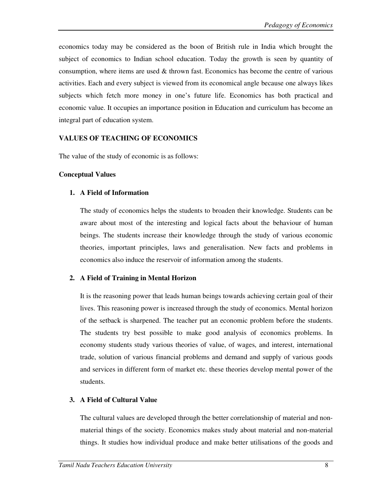economics today may be considered as the boon of British rule in India which brought the subject of economics to Indian school education. Today the growth is seen by quantity of consumption, where items are used  $\&$  thrown fast. Economics has become the centre of various activities. Each and every subject is viewed from its economical angle because one always likes subjects which fetch more money in one's future life. Economics has both practical and economic value. It occupies an importance position in Education and curriculum has become an integral part of education system.

### **VALUES OF TEACHING OF ECONOMICS**

The value of the study of economic is as follows:

#### **Conceptual Values**

### **1. A Field of Information**

The study of economics helps the students to broaden their knowledge. Students can be aware about most of the interesting and logical facts about the behaviour of human beings. The students increase their knowledge through the study of various economic theories, important principles, laws and generalisation. New facts and problems in economics also induce the reservoir of information among the students.

### **2. A Field of Training in Mental Horizon**

It is the reasoning power that leads human beings towards achieving certain goal of their lives. This reasoning power is increased through the study of economics. Mental horizon of the setback is sharpened. The teacher put an economic problem before the students. The students try best possible to make good analysis of economics problems. In economy students study various theories of value, of wages, and interest, international trade, solution of various financial problems and demand and supply of various goods and services in different form of market etc. these theories develop mental power of the students.

### **3. A Field of Cultural Value**

The cultural values are developed through the better correlationship of material and nonmaterial things of the society. Economics makes study about material and non-material things. It studies how individual produce and make better utilisations of the goods and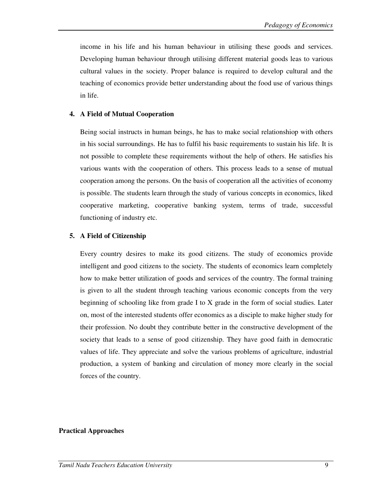income in his life and his human behaviour in utilising these goods and services. Developing human behaviour through utilising different material goods leas to various cultural values in the society. Proper balance is required to develop cultural and the teaching of economics provide better understanding about the food use of various things in life.

### **4. A Field of Mutual Cooperation**

Being social instructs in human beings, he has to make social relationshiop with others in his social surroundings. He has to fulfil his basic requirements to sustain his life. It is not possible to complete these requirements without the help of others. He satisfies his various wants with the cooperation of others. This process leads to a sense of mutual cooperation among the persons. On the basis of cooperation all the activities of economy is possible. The students learn through the study of various concepts in economics, liked cooperative marketing, cooperative banking system, terms of trade, successful functioning of industry etc.

### **5. A Field of Citizenship**

Every country desires to make its good citizens. The study of economics provide intelligent and good citizens to the society. The students of economics learn completely how to make better utilization of goods and services of the country. The formal training is given to all the student through teaching various economic concepts from the very beginning of schooling like from grade I to X grade in the form of social studies. Later on, most of the interested students offer economics as a disciple to make higher study for their profession. No doubt they contribute better in the constructive development of the society that leads to a sense of good citizenship. They have good faith in democratic values of life. They appreciate and solve the various problems of agriculture, industrial production, a system of banking and circulation of money more clearly in the social forces of the country.

### **Practical Approaches**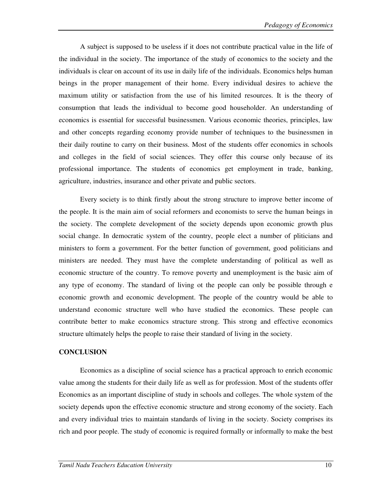A subject is supposed to be useless if it does not contribute practical value in the life of the individual in the society. The importance of the study of economics to the society and the individuals is clear on account of its use in daily life of the individuals. Economics helps human beings in the proper management of their home. Every individual desires to achieve the maximum utility or satisfaction from the use of his limited resources. It is the theory of consumption that leads the individual to become good householder. An understanding of economics is essential for successful businessmen. Various economic theories, principles, law and other concepts regarding economy provide number of techniques to the businessmen in their daily routine to carry on their business. Most of the students offer economics in schools and colleges in the field of social sciences. They offer this course only because of its professional importance. The students of economics get employment in trade, banking, agriculture, industries, insurance and other private and public sectors.

 Every society is to think firstly about the strong structure to improve better income of the people. It is the main aim of social reformers and economists to serve the human beings in the society. The complete development of the society depends upon economic growth plus social change. In democratic system of the country, people elect a number of pliticians and ministers to form a government. For the better function of government, good politicians and ministers are needed. They must have the complete understanding of political as well as economic structure of the country. To remove poverty and unemployment is the basic aim of any type of economy. The standard of living ot the people can only be possible through e economic growth and economic development. The people of the country would be able to understand economic structure well who have studied the economics. These people can contribute better to make economics structure strong. This strong and effective economics structure ultimately helps the people to raise their standard of living in the society.

#### **CONCLUSION**

Economics as a discipline of social science has a practical approach to enrich economic value among the students for their daily life as well as for profession. Most of the students offer Economics as an important discipline of study in schools and colleges. The whole system of the society depends upon the effective economic structure and strong economy of the society. Each and every individual tries to maintain standards of living in the society. Society comprises its rich and poor people. The study of economic is required formally or informally to make the best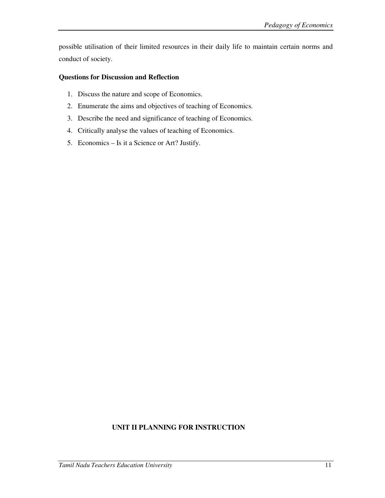possible utilisation of their limited resources in their daily life to maintain certain norms and conduct of society.

### **Questions for Discussion and Reflection**

- 1. Discuss the nature and scope of Economics.
- 2. Enumerate the aims and objectives of teaching of Economics.
- 3. Describe the need and significance of teaching of Economics.
- 4. Critically analyse the values of teaching of Economics.
- 5. Economics Is it a Science or Art? Justify.

## **UNIT II PLANNING FOR INSTRUCTION**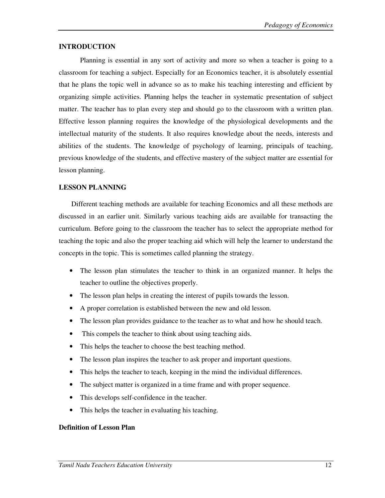#### **INTRODUCTION**

 Planning is essential in any sort of activity and more so when a teacher is going to a classroom for teaching a subject. Especially for an Economics teacher, it is absolutely essential that he plans the topic well in advance so as to make his teaching interesting and efficient by organizing simple activities. Planning helps the teacher in systematic presentation of subject matter. The teacher has to plan every step and should go to the classroom with a written plan. Effective lesson planning requires the knowledge of the physiological developments and the intellectual maturity of the students. It also requires knowledge about the needs, interests and abilities of the students. The knowledge of psychology of learning, principals of teaching, previous knowledge of the students, and effective mastery of the subject matter are essential for lesson planning.

### **LESSON PLANNING**

 Different teaching methods are available for teaching Economics and all these methods are discussed in an earlier unit. Similarly various teaching aids are available for transacting the curriculum. Before going to the classroom the teacher has to select the appropriate method for teaching the topic and also the proper teaching aid which will help the learner to understand the concepts in the topic. This is sometimes called planning the strategy.

- The lesson plan stimulates the teacher to think in an organized manner. It helps the teacher to outline the objectives properly.
- The lesson plan helps in creating the interest of pupils towards the lesson.
- A proper correlation is established between the new and old lesson.
- The lesson plan provides guidance to the teacher as to what and how he should teach.
- This compels the teacher to think about using teaching aids.
- This helps the teacher to choose the best teaching method.
- The lesson plan inspires the teacher to ask proper and important questions.
- This helps the teacher to teach, keeping in the mind the individual differences.
- The subject matter is organized in a time frame and with proper sequence.
- This develops self-confidence in the teacher.
- This helps the teacher in evaluating his teaching.

### **Definition of Lesson Plan**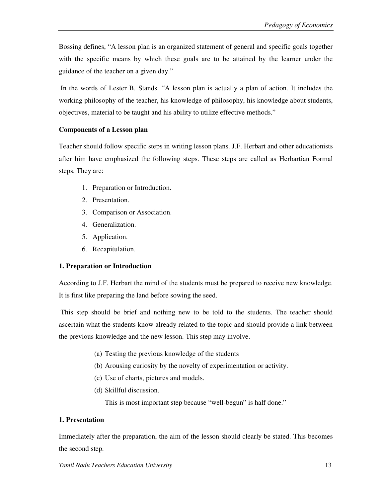Bossing defines, "A lesson plan is an organized statement of general and specific goals together with the specific means by which these goals are to be attained by the learner under the guidance of the teacher on a given day."

 In the words of Lester B. Stands. "A lesson plan is actually a plan of action. It includes the working philosophy of the teacher, his knowledge of philosophy, his knowledge about students, objectives, material to be taught and his ability to utilize effective methods."

### **Components of a Lesson plan**

Teacher should follow specific steps in writing lesson plans. J.F. Herbart and other educationists after him have emphasized the following steps. These steps are called as Herbartian Formal steps. They are:

- 1. Preparation or Introduction.
- 2. Presentation.
- 3. Comparison or Association.
- 4. Generalization.
- 5. Application.
- 6. Recapitulation.

#### **1. Preparation or Introduction**

According to J.F. Herbart the mind of the students must be prepared to receive new knowledge. It is first like preparing the land before sowing the seed.

 This step should be brief and nothing new to be told to the students. The teacher should ascertain what the students know already related to the topic and should provide a link between the previous knowledge and the new lesson. This step may involve.

- (a) Testing the previous knowledge of the students
- (b) Arousing curiosity by the novelty of experimentation or activity.
- (c) Use of charts, pictures and models.
- (d) Skillful discussion.

This is most important step because "well-begun" is half done."

#### **1. Presentation**

Immediately after the preparation, the aim of the lesson should clearly be stated. This becomes the second step.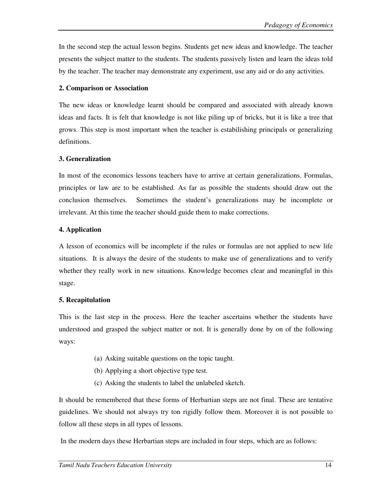In the second step the actual lesson begins. Students get new ideas and knowledge. The teacher presents the subject matter to the students. The students passively listen and learn the ideas told by the teacher. The teacher may demonstrate any experiment, use any aid or do any activities.

### **2. Comparison or Association**

The new ideas or knowledge learnt should be compared and associated with already known ideas and facts. It is felt that knowledge is not like piling up of bricks, but it is like a tree that grows. This step is most important when the teacher is estabilishing principals or generalizing definitions.

### **3. Generalization**

In most of the economics lessons teachers have to arrive at certain generalizations. Formulas, principles or law are to be established. As far as possible the students should draw out the conclusion themselves. Sometimes the student's generalizations may be incomplete or irrelevant. At this time the teacher should guide them to make corrections.

### **4. Application**

A lesson of economics will be incomplete if the rules or formulas are not applied to new life situations. It is always the desire of the students to make use of generalizations and to verify whether they really work in new situations. Knowledge becomes clear and meaningful in this stage.

### **5. Recapitulation**

This is the last step in the process. Here the teacher ascertains whether the students have understood and grasped the subject matter or not. It is generally done by on of the following ways:

- (a) Asking suitable questions on the topic taught.
- (b) Applying a short objective type test.
- (c) Asking the students to label the unlabeled sketch.

It should be remembered that these forms of Herbartian steps are not final. These are tentative guidelines. We should not always try ton rigidly follow them. Moreover it is not possible to follow all these steps in all types of lessons.

In the modern days these Herbartian steps are included in four steps, which are as follows: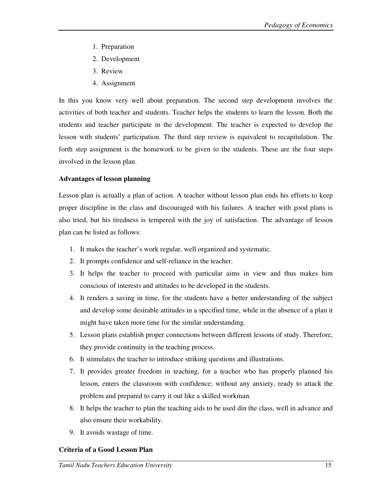- 1. Preparation
- 2. Development
- 3. Review
- 4. Assignment

In this you know very well about preparation. The second step development involves the activities of both teacher and students. Teacher helps the students to learn the lesson. Both the students and teacher participate in the development. The teacher is expected to develop the lesson with students' participation. The third step review is equivalent to recapitulation. The forth step assignment is the homework to be given to the students. These are the four steps involved in the lesson plan.

### **Advantages of lesson planning**

Lesson plan is actually a plan of action. A teacher without lesson plan ends his efforts to keep proper discipline in the class and discouraged with his failures. A teacher with good plans is also tried, but his tiredness is tempered with the joy of satisfaction. The advantage of lesson plan can be listed as follows:

- 1. It makes the teacher's work regular, well organized and systematic.
- 2. It prompts confidence and self-reliance in the teacher.
- 3. It helps the teacher to proceed with particular aims in view and thus makes him conscious of interests and attitudes to be developed in the students.
- 4. It renders a saving in time, for the students have a better understanding of the subject and develop some desirable attitudes in a specified time, while in the absence of a plan it might have taken more time for the similar understanding.
- 5. Lesson plans establish proper connections between different lessons of study. Therefore, they provide continuity in the teaching process.
- 6. It stimulates the teacher to introduce striking questions and illustrations.
- 7. It provides greater freedom in teaching, for a teacher who has properly planned his lesson, enters the classroom with confidence; without any anxiety, ready to attack the problem and prepared to carry it out like a skilled workman.
- 8. It helps the teacher to plan the teaching aids to be used din the class, well in advance and also ensure their workability.
- 9. It avoids wastage of time.

## **Criteria of a Good Lesson Plan**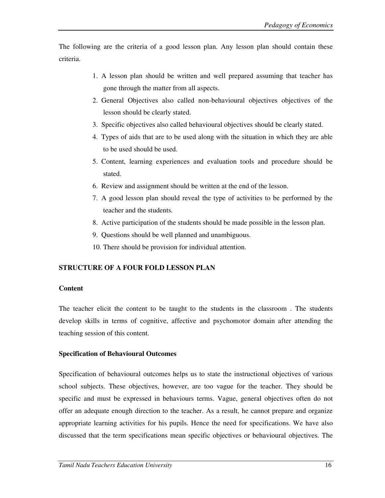The following are the criteria of a good lesson plan. Any lesson plan should contain these criteria.

- 1. A lesson plan should be written and well prepared assuming that teacher has gone through the matter from all aspects.
- 2. General Objectives also called non-behavioural objectives objectives of the lesson should be clearly stated.
- 3. Specific objectives also called behavioural objectives should be clearly stated.
- 4. Types of aids that are to be used along with the situation in which they are able to be used should be used.
- 5. Content, learning experiences and evaluation tools and procedure should be stated.
- 6. Review and assignment should be written at the end of the lesson.
- 7. A good lesson plan should reveal the type of activities to be performed by the teacher and the students.
- 8. Active participation of the students should be made possible in the lesson plan.
- 9. Questions should be well planned and unambiguous.
- 10. There should be provision for individual attention.

## **STRUCTURE OF A FOUR FOLD LESSON PLAN**

### **Content**

The teacher elicit the content to be taught to the students in the classroom . The students develop skills in terms of cognitive, affective and psychomotor domain after attending the teaching session of this content.

### **Specification of Behavioural Outcomes**

Specification of behavioural outcomes helps us to state the instructional objectives of various school subjects. These objectives, however, are too vague for the teacher. They should be specific and must be expressed in behaviours terms. Vague, general objectives often do not offer an adequate enough direction to the teacher. As a result, he cannot prepare and organize appropriate learning activities for his pupils. Hence the need for specifications. We have also discussed that the term specifications mean specific objectives or behavioural objectives. The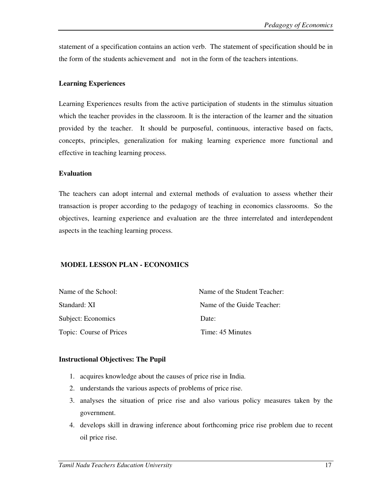statement of a specification contains an action verb. The statement of specification should be in the form of the students achievement and not in the form of the teachers intentions.

### **Learning Experiences**

Learning Experiences results from the active participation of students in the stimulus situation which the teacher provides in the classroom. It is the interaction of the learner and the situation provided by the teacher. It should be purposeful, continuous, interactive based on facts, concepts, principles, generalization for making learning experience more functional and effective in teaching learning process.

### **Evaluation**

The teachers can adopt internal and external methods of evaluation to assess whether their transaction is proper according to the pedagogy of teaching in economics classrooms. So the objectives, learning experience and evaluation are the three interrelated and interdependent aspects in the teaching learning process.

## **MODEL LESSON PLAN - ECONOMICS**

| Name of the School:     | Name of the Student Teacher: |
|-------------------------|------------------------------|
| Standard: XI            | Name of the Guide Teacher:   |
| Subject: Economics      | Date:                        |
| Topic: Course of Prices | Time: 45 Minutes             |

### **Instructional Objectives: The Pupil**

- 1. acquires knowledge about the causes of price rise in India.
- 2. understands the various aspects of problems of price rise.
- 3. analyses the situation of price rise and also various policy measures taken by the government.
- 4. develops skill in drawing inference about forthcoming price rise problem due to recent oil price rise.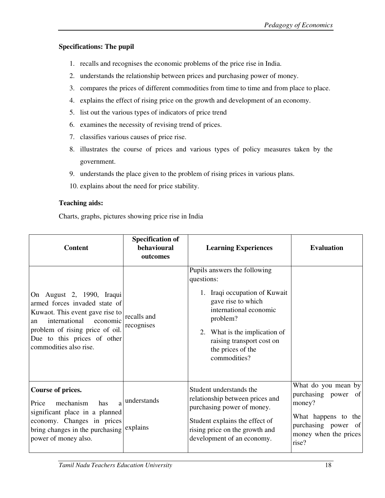## **Specifications: The pupil**

- 1. recalls and recognises the economic problems of the price rise in India.
- 2. understands the relationship between prices and purchasing power of money.
- 3. compares the prices of different commodities from time to time and from place to place.
- 4. explains the effect of rising price on the growth and development of an economy.
- 5. list out the various types of indicators of price trend
- 6. examines the necessity of revising trend of prices.
- 7. classifies various causes of price rise.
- 8. illustrates the course of prices and various types of policy measures taken by the government.
- 9. understands the place given to the problem of rising prices in various plans.
- 10. explains about the need for price stability.

## **Teaching aids:**

Charts, graphs, pictures showing price rise in India

| <b>Content</b>                                                                                                                                                                                                               | <b>Specification of</b><br>behavioural<br>outcomes | <b>Learning Experiences</b>                                                                                                                                                                                                                | <b>Evaluation</b>                                                                                                                    |
|------------------------------------------------------------------------------------------------------------------------------------------------------------------------------------------------------------------------------|----------------------------------------------------|--------------------------------------------------------------------------------------------------------------------------------------------------------------------------------------------------------------------------------------------|--------------------------------------------------------------------------------------------------------------------------------------|
| On August 2, 1990, Iraqui<br>armed forces invaded state of<br>Kuwaot. This event gave rise to<br>international<br>economic<br>an<br>problem of rising price of oil.<br>Due to this prices of other<br>commodities also rise. | recalls and<br>recognises                          | Pupils answers the following<br>questions:<br>1. Iraqi occupation of Kuwait<br>gave rise to which<br>international economic<br>problem?<br>2. What is the implication of<br>raising transport cost on<br>the prices of the<br>commodities? |                                                                                                                                      |
| Course of prices.<br>mechanism<br>a<br>Price<br>has<br>significant place in a planned<br>economy. Changes in prices<br>bring changes in the purchasing explains<br>power of money also.                                      | understands                                        | Student understands the<br>relationship between prices and<br>purchasing power of money.<br>Student explains the effect of<br>rising price on the growth and<br>development of an economy.                                                 | What do you mean by<br>purchasing power of<br>money?<br>What happens to the<br>purchasing power of<br>money when the prices<br>rise? |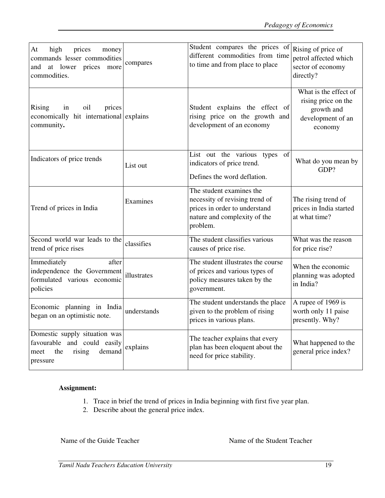| At<br>high<br>prices<br>money<br>commands lesser commodities<br>at lower prices<br>and<br>more<br>commodities. | compares    | Student compares the prices of<br>different commodities from time<br>to time and from place to place                                    | Rising of price of<br>petrol affected which<br>sector of economy<br>directly?              |
|----------------------------------------------------------------------------------------------------------------|-------------|-----------------------------------------------------------------------------------------------------------------------------------------|--------------------------------------------------------------------------------------------|
| Rising<br>oil<br>prices<br>in<br>economically hit international explains<br>community.                         |             | Student explains the effect of<br>rising price on the growth and<br>development of an economy                                           | What is the effect of<br>rising price on the<br>growth and<br>development of an<br>economy |
| Indicators of price trends                                                                                     | List out    | List out the various types<br>of<br>indicators of price trend.<br>Defines the word deflation.                                           | What do you mean by<br>GDP?                                                                |
| Trend of prices in India                                                                                       | Examines    | The student examines the<br>necessity of revising trend of<br>prices in order to understand<br>nature and complexity of the<br>problem. | The rising trend of<br>prices in India started<br>at what time?                            |
| Second world war leads to the<br>trend of price rises                                                          | classifies  | The student classifies various<br>causes of price rise.                                                                                 | What was the reason<br>for price rise?                                                     |
| Immediately<br>after<br>independence the Government<br>formulated various economic<br>policies                 | illustrates | The student illustrates the course<br>of prices and various types of<br>policy measures taken by the<br>government.                     | When the economic<br>planning was adopted<br>in India?                                     |
| Economic planning in India<br>began on an optimistic note.                                                     | understands | The student understands the place<br>given to the problem of rising<br>prices in various plans.                                         | A rupee of 1969 is<br>worth only 11 paise<br>presently. Why?                               |
| Domestic supply situation was<br>favourable and could easily<br>rising<br>demand<br>the<br>meet<br>pressure    | explains    | The teacher explains that every<br>plan has been eloquent about the<br>need for price stability.                                        | What happened to the<br>general price index?                                               |

## **Assignment:**

- 1. Trace in brief the trend of prices in India beginning with first five year plan.
- 2. Describe about the general price index.

Name of the Guide Teacher Name of the Student Teacher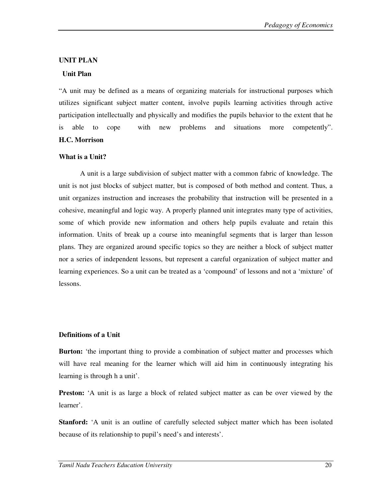#### **UNIT PLAN**

#### **Unit Plan**

"A unit may be defined as a means of organizing materials for instructional purposes which utilizes significant subject matter content, involve pupils learning activities through active participation intellectually and physically and modifies the pupils behavior to the extent that he is able to cope with new problems and situations more competently". **H.C. Morrison** 

#### **What is a Unit?**

A unit is a large subdivision of subject matter with a common fabric of knowledge. The unit is not just blocks of subject matter, but is composed of both method and content. Thus, a unit organizes instruction and increases the probability that instruction will be presented in a cohesive, meaningful and logic way. A properly planned unit integrates many type of activities, some of which provide new information and others help pupils evaluate and retain this information. Units of break up a course into meaningful segments that is larger than lesson plans. They are organized around specific topics so they are neither a block of subject matter nor a series of independent lessons, but represent a careful organization of subject matter and learning experiences. So a unit can be treated as a 'compound' of lessons and not a 'mixture' of lessons.

#### **Definitions of a Unit**

**Burton:** 'the important thing to provide a combination of subject matter and processes which will have real meaning for the learner which will aid him in continuously integrating his learning is through h a unit'.

**Preston:** 'A unit is as large a block of related subject matter as can be over viewed by the learner'.

**Stanford:** 'A unit is an outline of carefully selected subject matter which has been isolated because of its relationship to pupil's need's and interests'.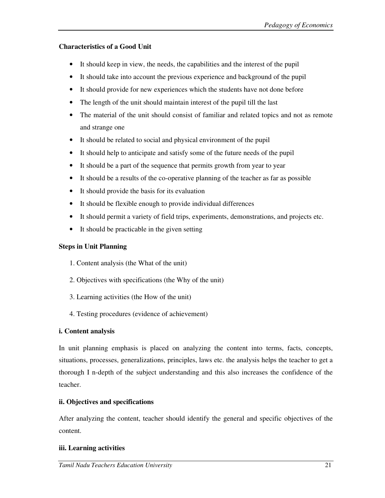## **Characteristics of a Good Unit**

- It should keep in view, the needs, the capabilities and the interest of the pupil
- It should take into account the previous experience and background of the pupil
- It should provide for new experiences which the students have not done before
- The length of the unit should maintain interest of the pupil till the last
- The material of the unit should consist of familiar and related topics and not as remote and strange one
- It should be related to social and physical environment of the pupil
- It should help to anticipate and satisfy some of the future needs of the pupil
- It should be a part of the sequence that permits growth from year to year
- It should be a results of the co-operative planning of the teacher as far as possible
- It should provide the basis for its evaluation
- It should be flexible enough to provide individual differences
- It should permit a variety of field trips, experiments, demonstrations, and projects etc.
- It should be practicable in the given setting

# **Steps in Unit Planning**

- 1. Content analysis (the What of the unit)
- 2. Objectives with specifications (the Why of the unit)
- 3. Learning activities (the How of the unit)
- 4. Testing procedures (evidence of achievement)

# **i. Content analysis**

In unit planning emphasis is placed on analyzing the content into terms, facts, concepts, situations, processes, generalizations, principles, laws etc. the analysis helps the teacher to get a thorough I n-depth of the subject understanding and this also increases the confidence of the teacher.

# **ii. Objectives and specifications**

After analyzing the content, teacher should identify the general and specific objectives of the content.

# **iii. Learning activities**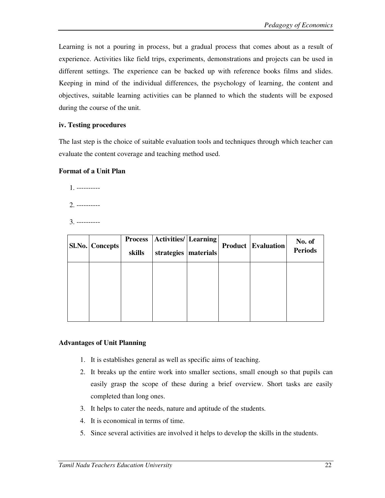Learning is not a pouring in process, but a gradual process that comes about as a result of experience. Activities like field trips, experiments, demonstrations and projects can be used in different settings. The experience can be backed up with reference books films and slides. Keeping in mind of the individual differences, the psychology of learning, the content and objectives, suitable learning activities can be planned to which the students will be exposed during the course of the unit.

### **iv. Testing procedures**

The last step is the choice of suitable evaluation tools and techniques through which teacher can evaluate the content coverage and teaching method used.

#### **Format of a Unit Plan**

1. ----------

- 2. ----------
- 3. ----------

| <b>Sl.No.</b> Concepts | <b>Process</b><br>skills | <b>Activities</b> / Learning<br>strategies   materials |  | <b>Product Evaluation</b> | No. of<br><b>Periods</b> |
|------------------------|--------------------------|--------------------------------------------------------|--|---------------------------|--------------------------|
|                        |                          |                                                        |  |                           |                          |
|                        |                          |                                                        |  |                           |                          |

### **Advantages of Unit Planning**

- 1. It is establishes general as well as specific aims of teaching.
- 2. It breaks up the entire work into smaller sections, small enough so that pupils can easily grasp the scope of these during a brief overview. Short tasks are easily completed than long ones.
- 3. It helps to cater the needs, nature and aptitude of the students.
- 4. It is economical in terms of time.
- 5. Since several activities are involved it helps to develop the skills in the students.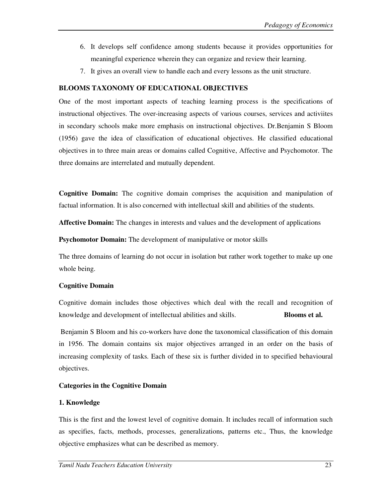- 6. It develops self confidence among students because it provides opportunities for meaningful experience wherein they can organize and review their learning.
- 7. It gives an overall view to handle each and every lessons as the unit structure.

### **BLOOMS TAXONOMY OF EDUCATIONAL OBJECTIVES**

One of the most important aspects of teaching learning process is the specifications of instructional objectives. The over-increasing aspects of various courses, services and activiites in secondary schools make more emphasis on instructional objectives. Dr.Benjamin S Bloom (1956) gave the idea of classification of educational objectives. He classified educational objectives in to three main areas or domains called Cognitive, Affective and Psychomotor. The three domains are interrelated and mutually dependent.

**Cognitive Domain:** The cognitive domain comprises the acquisition and manipulation of factual information. It is also concerned with intellectual skill and abilities of the students.

**Affective Domain:** The changes in interests and values and the development of applications

**Psychomotor Domain:** The development of manipulative or motor skills

The three domains of learning do not occur in isolation but rather work together to make up one whole being.

## **Cognitive Domain**

Cognitive domain includes those objectives which deal with the recall and recognition of knowledge and development of intellectual abilities and skills. **Blooms et al.** 

 Benjamin S Bloom and his co-workers have done the taxonomical classification of this domain in 1956. The domain contains six major objectives arranged in an order on the basis of increasing complexity of tasks. Each of these six is further divided in to specified behavioural objectives.

## **Categories in the Cognitive Domain**

### **1. Knowledge**

This is the first and the lowest level of cognitive domain. It includes recall of information such as specifies, facts, methods, processes, generalizations, patterns etc., Thus, the knowledge objective emphasizes what can be described as memory.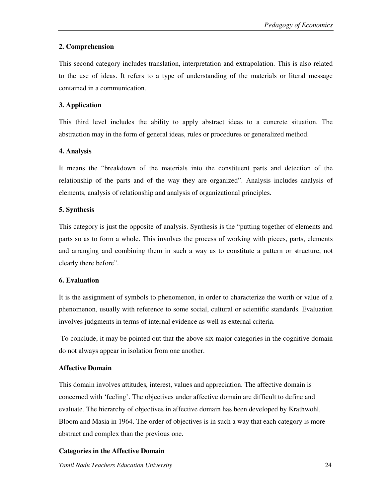# **2. Comprehension**

This second category includes translation, interpretation and extrapolation. This is also related to the use of ideas. It refers to a type of understanding of the materials or literal message contained in a communication.

## **3. Application**

This third level includes the ability to apply abstract ideas to a concrete situation. The abstraction may in the form of general ideas, rules or procedures or generalized method.

## **4. Analysis**

It means the "breakdown of the materials into the constituent parts and detection of the relationship of the parts and of the way they are organized". Analysis includes analysis of elements, analysis of relationship and analysis of organizational principles.

## **5. Synthesis**

This category is just the opposite of analysis. Synthesis is the "putting together of elements and parts so as to form a whole. This involves the process of working with pieces, parts, elements and arranging and combining them in such a way as to constitute a pattern or structure, not clearly there before".

# **6. Evaluation**

It is the assignment of symbols to phenomenon, in order to characterize the worth or value of a phenomenon, usually with reference to some social, cultural or scientific standards. Evaluation involves judgments in terms of internal evidence as well as external criteria.

 To conclude, it may be pointed out that the above six major categories in the cognitive domain do not always appear in isolation from one another.

# **Affective Domain**

This domain involves attitudes, interest, values and appreciation. The affective domain is concerned with 'feeling'. The objectives under affective domain are difficult to define and evaluate. The hierarchy of objectives in affective domain has been developed by Krathwohl, Bloom and Masia in 1964. The order of objectives is in such a way that each category is more abstract and complex than the previous one.

# **Categories in the Affective Domain**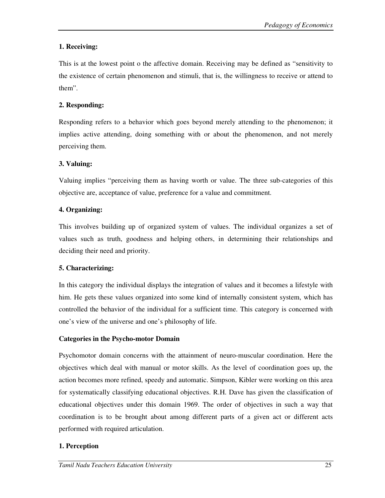# **1. Receiving:**

This is at the lowest point o the affective domain. Receiving may be defined as "sensitivity to the existence of certain phenomenon and stimuli, that is, the willingness to receive or attend to them".

# **2. Responding:**

Responding refers to a behavior which goes beyond merely attending to the phenomenon; it implies active attending, doing something with or about the phenomenon, and not merely perceiving them.

# **3. Valuing:**

Valuing implies "perceiving them as having worth or value. The three sub-categories of this objective are, acceptance of value, preference for a value and commitment.

# **4. Organizing:**

This involves building up of organized system of values. The individual organizes a set of values such as truth, goodness and helping others, in determining their relationships and deciding their need and priority.

# **5. Characterizing:**

In this category the individual displays the integration of values and it becomes a lifestyle with him. He gets these values organized into some kind of internally consistent system, which has controlled the behavior of the individual for a sufficient time. This category is concerned with one's view of the universe and one's philosophy of life.

# **Categories in the Psycho-motor Domain**

Psychomotor domain concerns with the attainment of neuro-muscular coordination. Here the objectives which deal with manual or motor skills. As the level of coordination goes up, the action becomes more refined, speedy and automatic. Simpson, Kibler were working on this area for systematically classifying educational objectives. R.H. Dave has given the classification of educational objectives under this domain 1969. The order of objectives in such a way that coordination is to be brought about among different parts of a given act or different acts performed with required articulation.

# **1. Perception**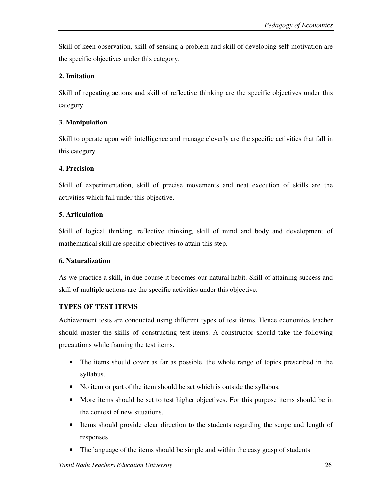Skill of keen observation, skill of sensing a problem and skill of developing self-motivation are the specific objectives under this category.

## **2. Imitation**

Skill of repeating actions and skill of reflective thinking are the specific objectives under this category.

## **3. Manipulation**

Skill to operate upon with intelligence and manage cleverly are the specific activities that fall in this category.

## **4. Precision**

Skill of experimentation, skill of precise movements and neat execution of skills are the activities which fall under this objective.

## **5. Articulation**

Skill of logical thinking, reflective thinking, skill of mind and body and development of mathematical skill are specific objectives to attain this step.

## **6. Naturalization**

As we practice a skill, in due course it becomes our natural habit. Skill of attaining success and skill of multiple actions are the specific activities under this objective.

# **TYPES OF TEST ITEMS**

Achievement tests are conducted using different types of test items. Hence economics teacher should master the skills of constructing test items. A constructor should take the following precautions while framing the test items.

- The items should cover as far as possible, the whole range of topics prescribed in the syllabus.
- No item or part of the item should be set which is outside the syllabus.
- More items should be set to test higher objectives. For this purpose items should be in the context of new situations.
- Items should provide clear direction to the students regarding the scope and length of responses
- The language of the items should be simple and within the easy grasp of students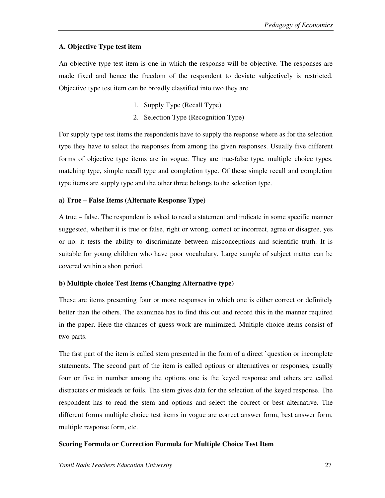# **A. Objective Type test item**

An objective type test item is one in which the response will be objective. The responses are made fixed and hence the freedom of the respondent to deviate subjectively is restricted. Objective type test item can be broadly classified into two they are

- 1. Supply Type (Recall Type)
- 2. Selection Type (Recognition Type)

For supply type test items the respondents have to supply the response where as for the selection type they have to select the responses from among the given responses. Usually five different forms of objective type items are in vogue. They are true-false type, multiple choice types, matching type, simple recall type and completion type. Of these simple recall and completion type items are supply type and the other three belongs to the selection type.

## **a) True – False Items (Alternate Response Type)**

A true – false. The respondent is asked to read a statement and indicate in some specific manner suggested, whether it is true or false, right or wrong, correct or incorrect, agree or disagree, yes or no. it tests the ability to discriminate between misconceptions and scientific truth. It is suitable for young children who have poor vocabulary. Large sample of subject matter can be covered within a short period.

## **b) Multiple choice Test Items (Changing Alternative type)**

These are items presenting four or more responses in which one is either correct or definitely better than the others. The examinee has to find this out and record this in the manner required in the paper. Here the chances of guess work are minimized. Multiple choice items consist of two parts.

The fast part of the item is called stem presented in the form of a direct `question or incomplete statements. The second part of the item is called options or alternatives or responses, usually four or five in number among the options one is the keyed response and others are called distracters or misleads or foils. The stem gives data for the selection of the keyed response. The respondent has to read the stem and options and select the correct or best alternative. The different forms multiple choice test items in vogue are correct answer form, best answer form, multiple response form, etc.

# **Scoring Formula or Correction Formula for Multiple Choice Test Item**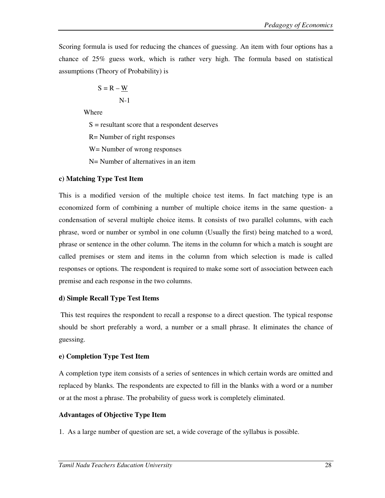Scoring formula is used for reducing the chances of guessing. An item with four options has a chance of 25% guess work, which is rather very high. The formula based on statistical assumptions (Theory of Probability) is

$$
S = R - \underline{W}
$$
  
N-1

Where

 $S =$  resultant score that a respondent deserves

R= Number of right responses

W= Number of wrong responses

N= Number of alternatives in an item

### **c) Matching Type Test Item**

This is a modified version of the multiple choice test items. In fact matching type is an economized form of combining a number of multiple choice items in the same question- a condensation of several multiple choice items. It consists of two parallel columns, with each phrase, word or number or symbol in one column (Usually the first) being matched to a word, phrase or sentence in the other column. The items in the column for which a match is sought are called premises or stem and items in the column from which selection is made is called responses or options. The respondent is required to make some sort of association between each premise and each response in the two columns.

### **d) Simple Recall Type Test Items**

 This test requires the respondent to recall a response to a direct question. The typical response should be short preferably a word, a number or a small phrase. It eliminates the chance of guessing.

## **e) Completion Type Test Item**

A completion type item consists of a series of sentences in which certain words are omitted and replaced by blanks. The respondents are expected to fill in the blanks with a word or a number or at the most a phrase. The probability of guess work is completely eliminated.

## **Advantages of Objective Type Item**

1. As a large number of question are set, a wide coverage of the syllabus is possible.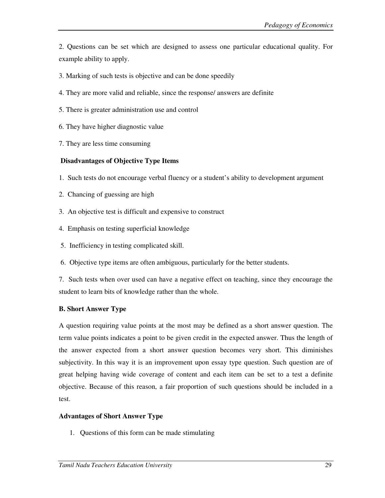2. Questions can be set which are designed to assess one particular educational quality. For example ability to apply.

- 3. Marking of such tests is objective and can be done speedily
- 4. They are more valid and reliable, since the response/ answers are definite
- 5. There is greater administration use and control
- 6. They have higher diagnostic value
- 7. They are less time consuming

### **Disadvantages of Objective Type Items**

- 1. Such tests do not encourage verbal fluency or a student's ability to development argument
- 2. Chancing of guessing are high
- 3. An objective test is difficult and expensive to construct
- 4. Emphasis on testing superficial knowledge
- 5. Inefficiency in testing complicated skill.
- 6. Objective type items are often ambiguous, particularly for the better students.

7. Such tests when over used can have a negative effect on teaching, since they encourage the student to learn bits of knowledge rather than the whole.

## **B. Short Answer Type**

A question requiring value points at the most may be defined as a short answer question. The term value points indicates a point to be given credit in the expected answer. Thus the length of the answer expected from a short answer question becomes very short. This diminishes subjectivity. In this way it is an improvement upon essay type question. Such question are of great helping having wide coverage of content and each item can be set to a test a definite objective. Because of this reason, a fair proportion of such questions should be included in a test.

### **Advantages of Short Answer Type**

1. Questions of this form can be made stimulating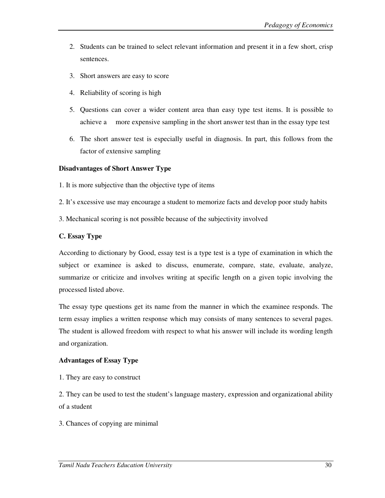- 2. Students can be trained to select relevant information and present it in a few short, crisp sentences.
- 3. Short answers are easy to score
- 4. Reliability of scoring is high
- 5. Questions can cover a wider content area than easy type test items. It is possible to achieve a more expensive sampling in the short answer test than in the essay type test
- 6. The short answer test is especially useful in diagnosis. In part, this follows from the factor of extensive sampling

### **Disadvantages of Short Answer Type**

- 1. It is more subjective than the objective type of items
- 2. It's excessive use may encourage a student to memorize facts and develop poor study habits
- 3. Mechanical scoring is not possible because of the subjectivity involved

#### **C. Essay Type**

According to dictionary by Good, essay test is a type test is a type of examination in which the subject or examinee is asked to discuss, enumerate, compare, state, evaluate, analyze, summarize or criticize and involves writing at specific length on a given topic involving the processed listed above.

The essay type questions get its name from the manner in which the examinee responds. The term essay implies a written response which may consists of many sentences to several pages. The student is allowed freedom with respect to what his answer will include its wording length and organization.

### **Advantages of Essay Type**

1. They are easy to construct

2. They can be used to test the student's language mastery, expression and organizational ability of a student

3. Chances of copying are minimal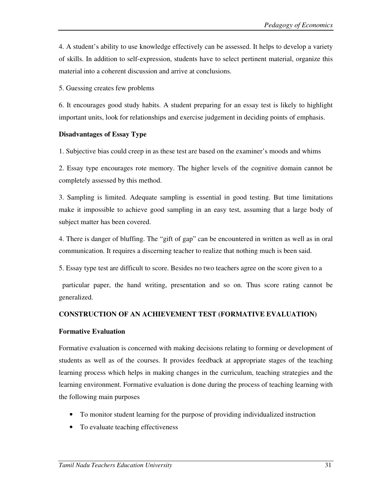4. A student's ability to use knowledge effectively can be assessed. It helps to develop a variety of skills. In addition to self-expression, students have to select pertinent material, organize this material into a coherent discussion and arrive at conclusions.

5. Guessing creates few problems

6. It encourages good study habits. A student preparing for an essay test is likely to highlight important units, look for relationships and exercise judgement in deciding points of emphasis.

### **Disadvantages of Essay Type**

1. Subjective bias could creep in as these test are based on the examiner's moods and whims

2. Essay type encourages rote memory. The higher levels of the cognitive domain cannot be completely assessed by this method.

3. Sampling is limited. Adequate sampling is essential in good testing. But time limitations make it impossible to achieve good sampling in an easy test, assuming that a large body of subject matter has been covered.

4. There is danger of bluffing. The "gift of gap" can be encountered in written as well as in oral communication. It requires a discerning teacher to realize that nothing much is been said.

5. Essay type test are difficult to score. Besides no two teachers agree on the score given to a

 particular paper, the hand writing, presentation and so on. Thus score rating cannot be generalized.

## **CONSTRUCTION OF AN ACHIEVEMENT TEST (FORMATIVE EVALUATION)**

### **Formative Evaluation**

Formative evaluation is concerned with making decisions relating to forming or development of students as well as of the courses. It provides feedback at appropriate stages of the teaching learning process which helps in making changes in the curriculum, teaching strategies and the learning environment. Formative evaluation is done during the process of teaching learning with the following main purposes

- To monitor student learning for the purpose of providing individualized instruction
- To evaluate teaching effectiveness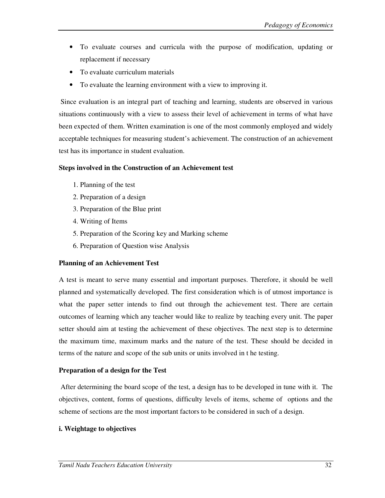- To evaluate courses and curricula with the purpose of modification, updating or replacement if necessary
- To evaluate curriculum materials
- To evaluate the learning environment with a view to improving it.

 Since evaluation is an integral part of teaching and learning, students are observed in various situations continuously with a view to assess their level of achievement in terms of what have been expected of them. Written examination is one of the most commonly employed and widely acceptable techniques for measuring student's achievement. The construction of an achievement test has its importance in student evaluation.

## **Steps involved in the Construction of an Achievement test**

- 1. Planning of the test
- 2. Preparation of a design
- 3. Preparation of the Blue print
- 4. Writing of Items
- 5. Preparation of the Scoring key and Marking scheme
- 6. Preparation of Question wise Analysis

## **Planning of an Achievement Test**

A test is meant to serve many essential and important purposes. Therefore, it should be well planned and systematically developed. The first consideration which is of utmost importance is what the paper setter intends to find out through the achievement test. There are certain outcomes of learning which any teacher would like to realize by teaching every unit. The paper setter should aim at testing the achievement of these objectives. The next step is to determine the maximum time, maximum marks and the nature of the test. These should be decided in terms of the nature and scope of the sub units or units involved in t he testing.

## **Preparation of a design for the Test**

 After determining the board scope of the test, a design has to be developed in tune with it. The objectives, content, forms of questions, difficulty levels of items, scheme of options and the scheme of sections are the most important factors to be considered in such of a design.

## **i. Weightage to objectives**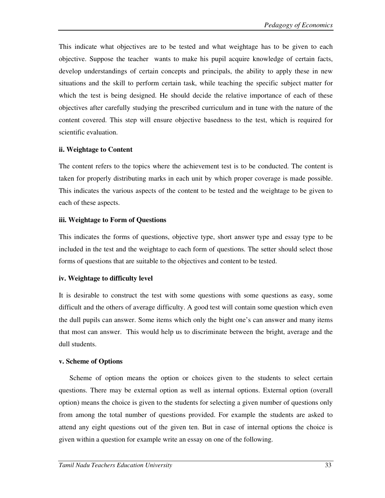This indicate what objectives are to be tested and what weightage has to be given to each objective. Suppose the teacher wants to make his pupil acquire knowledge of certain facts, develop understandings of certain concepts and principals, the ability to apply these in new situations and the skill to perform certain task, while teaching the specific subject matter for which the test is being designed. He should decide the relative importance of each of these objectives after carefully studying the prescribed curriculum and in tune with the nature of the content covered. This step will ensure objective basedness to the test, which is required for scientific evaluation.

### **ii. Weightage to Content**

The content refers to the topics where the achievement test is to be conducted. The content is taken for properly distributing marks in each unit by which proper coverage is made possible. This indicates the various aspects of the content to be tested and the weightage to be given to each of these aspects.

### **iii. Weightage to Form of Questions**

This indicates the forms of questions, objective type, short answer type and essay type to be included in the test and the weightage to each form of questions. The setter should select those forms of questions that are suitable to the objectives and content to be tested.

### **iv. Weightage to difficulty level**

It is desirable to construct the test with some questions with some questions as easy, some difficult and the others of average difficulty. A good test will contain some question which even the dull pupils can answer. Some items which only the bight one's can answer and many items that most can answer. This would help us to discriminate between the bright, average and the dull students.

### **v. Scheme of Options**

 Scheme of option means the option or choices given to the students to select certain questions. There may be external option as well as internal options. External option (overall option) means the choice is given to the students for selecting a given number of questions only from among the total number of questions provided. For example the students are asked to attend any eight questions out of the given ten. But in case of internal options the choice is given within a question for example write an essay on one of the following.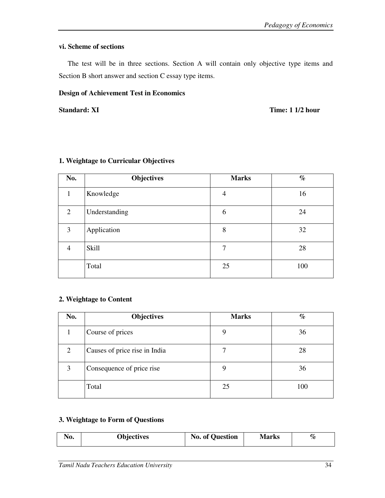## **vi. Scheme of sections**

 The test will be in three sections. Section A will contain only objective type items and Section B short answer and section C essay type items.

### **Design of Achievement Test in Economics**

#### **Standard: XI Time: 1 1/2 hour**

| No.            | <b>Objectives</b> | <b>Marks</b> | $\%$ |
|----------------|-------------------|--------------|------|
| 1              | Knowledge         | 4            | 16   |
| 2              | Understanding     | 6            | 24   |
| 3              | Application       | 8            | 32   |
| $\overline{4}$ | Skill             | 7            | 28   |
|                | Total             | 25           | 100  |

### **1. Weightage to Curricular Objectives**

## **2. Weightage to Content**

| No.            | <b>Objectives</b>             | <b>Marks</b> | $\%$ |
|----------------|-------------------------------|--------------|------|
|                | Course of prices              | 9            | 36   |
| $\overline{2}$ | Causes of price rise in India |              | 28   |
| 3              | Consequence of price rise     | 9            | 36   |
|                | Total                         | 25           | 100  |

## **3. Weightage to Form of Questions**

| <b>Objectives</b><br>No. | <b>No. of Question</b> | Marks | $\%$ |
|--------------------------|------------------------|-------|------|
|--------------------------|------------------------|-------|------|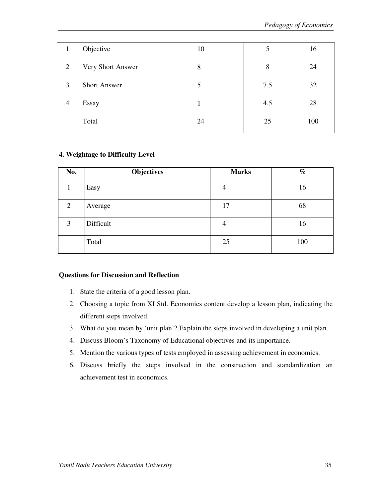|                | Objective           | 10 | 5   | 16  |
|----------------|---------------------|----|-----|-----|
| 2              | Very Short Answer   | 8  | 8   | 24  |
| 3              | <b>Short Answer</b> |    | 7.5 | 32  |
| $\overline{4}$ | Essay               |    | 4.5 | 28  |
|                | Total               | 24 | 25  | 100 |

### **4. Weightage to Difficulty Level**

| No. | Objectives | <b>Marks</b>   | $\%$ |
|-----|------------|----------------|------|
|     | Easy       | $\overline{4}$ | 16   |
| 2   | Average    | 17             | 68   |
| 3   | Difficult  | 4              | 16   |
|     | Total      | 25             | 100  |

### **Questions for Discussion and Reflection**

- 1. State the criteria of a good lesson plan.
- 2. Choosing a topic from XI Std. Economics content develop a lesson plan, indicating the different steps involved.
- 3. What do you mean by 'unit plan'? Explain the steps involved in developing a unit plan.
- 4. Discuss Bloom's Taxonomy of Educational objectives and its importance.
- 5. Mention the various types of tests employed in assessing achievement in economics.
- 6. Discuss briefly the steps involved in the construction and standardization an achievement test in economics.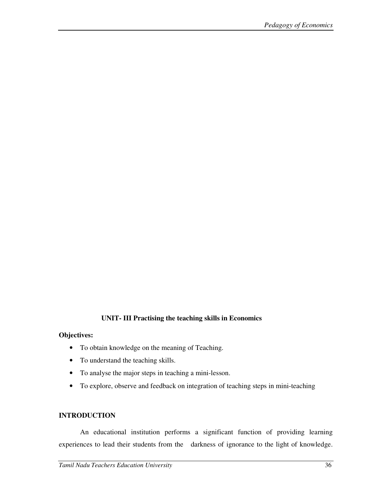### **UNIT- III Practising the teaching skills in Economics**

#### **Objectives:**

- To obtain knowledge on the meaning of Teaching.
- To understand the teaching skills.
- To analyse the major steps in teaching a mini-lesson.
- To explore, observe and feedback on integration of teaching steps in mini-teaching

### **INTRODUCTION**

An educational institution performs a significant function of providing learning experiences to lead their students from the darkness of ignorance to the light of knowledge.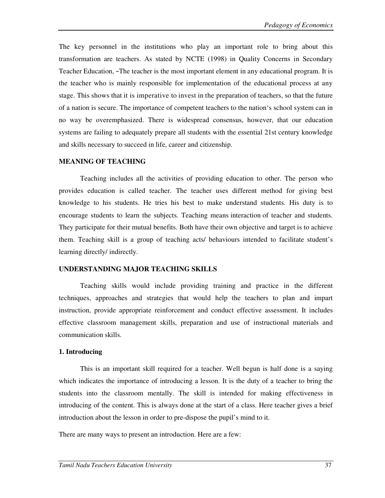The key personnel in the institutions who play an important role to bring about this transformation are teachers. As stated by NCTE (1998) in Quality Concerns in Secondary Teacher Education, ―The teacher is the most important element in any educational program. It is the teacher who is mainly responsible for implementation of the educational process at any stage. This shows that it is imperative to invest in the preparation of teachers, so that the future of a nation is secure. The importance of competent teachers to the nation's school system can in no way be overemphasized. There is widespread consensus, however, that our education systems are failing to adequately prepare all students with the essential 21st century knowledge and skills necessary to succeed in life, career and citizenship.

#### **MEANING OF TEACHING**

Teaching includes all the activities of providing education to other. The person who provides education is called teacher. The teacher uses different method for giving best knowledge to his students. He tries his best to make understand students. His duty is to encourage students to learn the subjects. Teaching means interaction of teacher and students. They participate for their mutual benefits. Both have their own objective and target is to achieve them. Teaching skill is a group of teaching acts/ behaviours intended to facilitate student's learning directly/ indirectly.

#### **UNDERSTANDING MAJOR TEACHING SKILLS**

Teaching skills would include providing training and practice in the different techniques, approaches and strategies that would help the teachers to plan and impart instruction, provide appropriate reinforcement and conduct effective assessment. It includes effective classroom management skills, preparation and use of instructional materials and communication skills.

#### **1. Introducing**

This is an important skill required for a teacher. Well begun is half done is a saying which indicates the importance of introducing a lesson. It is the duty of a teacher to bring the students into the classroom mentally. The skill is intended for making effectiveness in introducing of the content. This is always done at the start of a class. Here teacher gives a brief introduction about the lesson in order to pre-dispose the pupil's mind to it.

There are many ways to present an introduction. Here are a few: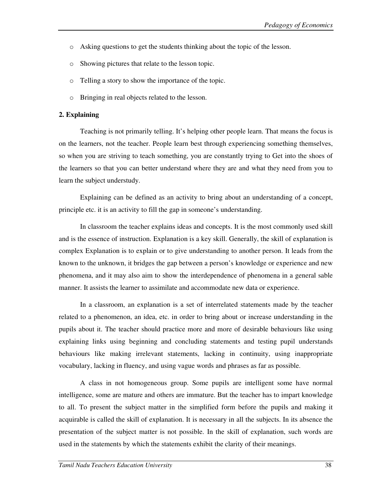- o Asking questions to get the students thinking about the topic of the lesson.
- o Showing pictures that relate to the lesson topic.
- o Telling a story to show the importance of the topic.
- o Bringing in real objects related to the lesson.

#### **2. Explaining**

Teaching is not primarily telling. It's helping other people learn. That means the focus is on the learners, not the teacher. People learn best through experiencing something themselves, so when you are striving to teach something, you are constantly trying to Get into the shoes of the learners so that you can better understand where they are and what they need from you to learn the subject understudy.

Explaining can be defined as an activity to bring about an understanding of a concept, principle etc. it is an activity to fill the gap in someone's understanding.

In classroom the teacher explains ideas and concepts. It is the most commonly used skill and is the essence of instruction. Explanation is a key skill. Generally, the skill of explanation is complex Explanation is to explain or to give understanding to another person. It leads from the known to the unknown, it bridges the gap between a person's knowledge or experience and new phenomena, and it may also aim to show the interdependence of phenomena in a general sable manner. It assists the learner to assimilate and accommodate new data or experience.

In a classroom, an explanation is a set of interrelated statements made by the teacher related to a phenomenon, an idea, etc. in order to bring about or increase understanding in the pupils about it. The teacher should practice more and more of desirable behaviours like using explaining links using beginning and concluding statements and testing pupil understands behaviours like making irrelevant statements, lacking in continuity, using inappropriate vocabulary, lacking in fluency, and using vague words and phrases as far as possible.

A class in not homogeneous group. Some pupils are intelligent some have normal intelligence, some are mature and others are immature. But the teacher has to impart knowledge to all. To present the subject matter in the simplified form before the pupils and making it acquirable is called the skill of explanation. It is necessary in all the subjects. In its absence the presentation of the subject matter is not possible. In the skill of explanation, such words are used in the statements by which the statements exhibit the clarity of their meanings.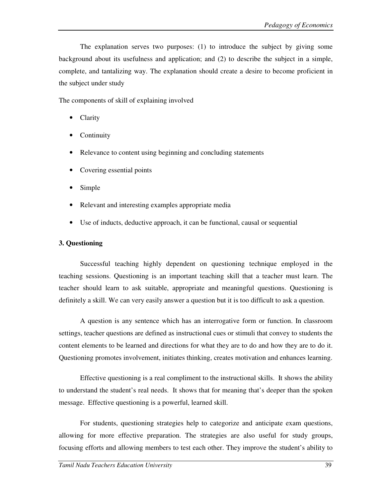The explanation serves two purposes: (1) to introduce the subject by giving some background about its usefulness and application; and (2) to describe the subject in a simple, complete, and tantalizing way. The explanation should create a desire to become proficient in the subject under study

The components of skill of explaining involved

- **Clarity**
- **Continuity**
- Relevance to content using beginning and concluding statements
- Covering essential points
- Simple
- Relevant and interesting examples appropriate media
- Use of inducts, deductive approach, it can be functional, causal or sequential

#### **3. Questioning**

Successful teaching highly dependent on questioning technique employed in the teaching sessions. Questioning is an important teaching skill that a teacher must learn. The teacher should learn to ask suitable, appropriate and meaningful questions. Questioning is definitely a skill. We can very easily answer a question but it is too difficult to ask a question.

A question is any sentence which has an interrogative form or function. In classroom settings, teacher questions are defined as instructional cues or stimuli that convey to students the content elements to be learned and directions for what they are to do and how they are to do it. Questioning promotes involvement, initiates thinking, creates motivation and enhances learning.

Effective questioning is a real compliment to the instructional skills. It shows the ability to understand the student's real needs. It shows that for meaning that's deeper than the spoken message. Effective questioning is a powerful, learned skill.

For students, questioning strategies help to categorize and anticipate exam questions, allowing for more effective preparation. The strategies are also useful for study groups, focusing efforts and allowing members to test each other. They improve the student's ability to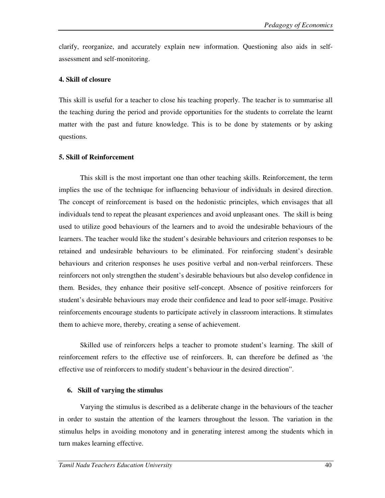clarify, reorganize, and accurately explain new information. Questioning also aids in selfassessment and self-monitoring.

#### **4. Skill of closure**

This skill is useful for a teacher to close his teaching properly. The teacher is to summarise all the teaching during the period and provide opportunities for the students to correlate the learnt matter with the past and future knowledge. This is to be done by statements or by asking questions.

#### **5. Skill of Reinforcement**

This skill is the most important one than other teaching skills. Reinforcement, the term implies the use of the technique for influencing behaviour of individuals in desired direction. The concept of reinforcement is based on the hedonistic principles, which envisages that all individuals tend to repeat the pleasant experiences and avoid unpleasant ones. The skill is being used to utilize good behaviours of the learners and to avoid the undesirable behaviours of the learners. The teacher would like the student's desirable behaviours and criterion responses to be retained and undesirable behaviours to be eliminated. For reinforcing student's desirable behaviours and criterion responses he uses positive verbal and non-verbal reinforcers. These reinforcers not only strengthen the student's desirable behaviours but also develop confidence in them. Besides, they enhance their positive self-concept. Absence of positive reinforcers for student's desirable behaviours may erode their confidence and lead to poor self-image. Positive reinforcements encourage students to participate actively in classroom interactions. It stimulates them to achieve more, thereby, creating a sense of achievement.

Skilled use of reinforcers helps a teacher to promote student's learning. The skill of reinforcement refers to the effective use of reinforcers. It, can therefore be defined as 'the effective use of reinforcers to modify student's behaviour in the desired direction".

#### **6. Skill of varying the stimulus**

Varying the stimulus is described as a deliberate change in the behaviours of the teacher in order to sustain the attention of the learners throughout the lesson. The variation in the stimulus helps in avoiding monotony and in generating interest among the students which in turn makes learning effective.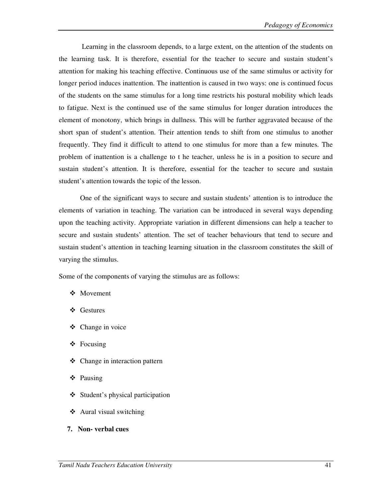Learning in the classroom depends, to a large extent, on the attention of the students on the learning task. It is therefore, essential for the teacher to secure and sustain student's attention for making his teaching effective. Continuous use of the same stimulus or activity for longer period induces inattention. The inattention is caused in two ways: one is continued focus of the students on the same stimulus for a long time restricts his postural mobility which leads to fatigue. Next is the continued use of the same stimulus for longer duration introduces the element of monotony, which brings in dullness. This will be further aggravated because of the short span of student's attention. Their attention tends to shift from one stimulus to another frequently. They find it difficult to attend to one stimulus for more than a few minutes. The problem of inattention is a challenge to t he teacher, unless he is in a position to secure and sustain student's attention. It is therefore, essential for the teacher to secure and sustain student's attention towards the topic of the lesson.

One of the significant ways to secure and sustain students' attention is to introduce the elements of variation in teaching. The variation can be introduced in several ways depending upon the teaching activity. Appropriate variation in different dimensions can help a teacher to secure and sustain students' attention. The set of teacher behaviours that tend to secure and sustain student's attention in teaching learning situation in the classroom constitutes the skill of varying the stimulus.

Some of the components of varying the stimulus are as follows:

- Movement
- Gestures
- ❖ Change in voice
- $\triangle$  Focusing
- Change in interaction pattern
- Pausing
- Student's physical participation
- $\triangleleft$  Aural visual switching
- **7. Non- verbal cues**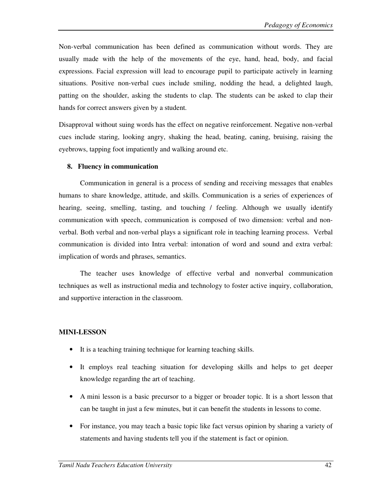Non-verbal communication has been defined as communication without words. They are usually made with the help of the movements of the eye, hand, head, body, and facial expressions. Facial expression will lead to encourage pupil to participate actively in learning situations. Positive non-verbal cues include smiling, nodding the head, a delighted laugh, patting on the shoulder, asking the students to clap. The students can be asked to clap their hands for correct answers given by a student.

Disapproval without suing words has the effect on negative reinforcement. Negative non-verbal cues include staring, looking angry, shaking the head, beating, caning, bruising, raising the eyebrows, tapping foot impatiently and walking around etc.

#### **8. Fluency in communication**

Communication in general is a process of sending and receiving messages that enables humans to share knowledge, attitude, and skills. Communication is a series of experiences of hearing, seeing, smelling, tasting, and touching / feeling. Although we usually identify communication with speech, communication is composed of two dimension: verbal and nonverbal. Both verbal and non-verbal plays a significant role in teaching learning process. Verbal communication is divided into Intra verbal: intonation of word and sound and extra verbal: implication of words and phrases, semantics.

The teacher uses knowledge of effective verbal and nonverbal communication techniques as well as instructional media and technology to foster active inquiry, collaboration, and supportive interaction in the classroom.

#### **MINI-LESSON**

- It is a teaching training technique for learning teaching skills.
- It employs real teaching situation for developing skills and helps to get deeper knowledge regarding the art of teaching.
- A mini lesson is a basic precursor to a bigger or broader topic. It is a short lesson that can be taught in just a few minutes, but it can benefit the students in lessons to come.
- For instance, you may teach a basic topic like fact versus opinion by sharing a variety of statements and having students tell you if the statement is fact or opinion.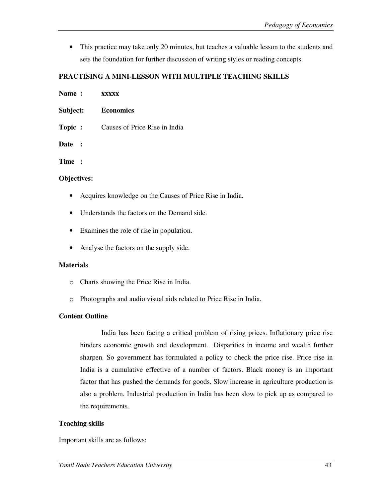• This practice may take only 20 minutes, but teaches a valuable lesson to the students and sets the foundation for further discussion of writing styles or reading concepts.

## **PRACTISING A MINI-LESSON WITH MULTIPLE TEACHING SKILLS**

| Name:       | <b>XXXXX</b>                  |
|-------------|-------------------------------|
| Subject:    | <b>Economics</b>              |
| Topic :     | Causes of Price Rise in India |
| Date :      |                               |
| Time :      |                               |
| Objectives: |                               |

- Acquires knowledge on the Causes of Price Rise in India.
- Understands the factors on the Demand side.
- Examines the role of rise in population.
- Analyse the factors on the supply side.

#### **Materials**

- o Charts showing the Price Rise in India.
- o Photographs and audio visual aids related to Price Rise in India.

#### **Content Outline**

India has been facing a critical problem of rising prices. Inflationary price rise hinders economic growth and development. Disparities in income and wealth further sharpen. So government has formulated a policy to check the price rise. Price rise in India is a cumulative effective of a number of factors. Black money is an important factor that has pushed the demands for goods. Slow increase in agriculture production is also a problem. Industrial production in India has been slow to pick up as compared to the requirements.

#### **Teaching skills**

Important skills are as follows: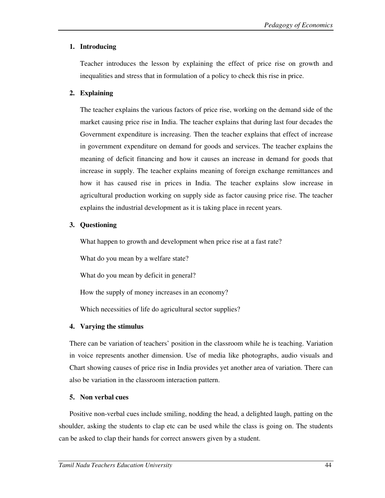## **1. Introducing**

Teacher introduces the lesson by explaining the effect of price rise on growth and inequalities and stress that in formulation of a policy to check this rise in price.

#### **2. Explaining**

The teacher explains the various factors of price rise, working on the demand side of the market causing price rise in India. The teacher explains that during last four decades the Government expenditure is increasing. Then the teacher explains that effect of increase in government expenditure on demand for goods and services. The teacher explains the meaning of deficit financing and how it causes an increase in demand for goods that increase in supply. The teacher explains meaning of foreign exchange remittances and how it has caused rise in prices in India. The teacher explains slow increase in agricultural production working on supply side as factor causing price rise. The teacher explains the industrial development as it is taking place in recent years.

## **3. Questioning**

What happen to growth and development when price rise at a fast rate?

What do you mean by a welfare state?

What do you mean by deficit in general?

How the supply of money increases in an economy?

Which necessities of life do agricultural sector supplies?

#### **4. Varying the stimulus**

There can be variation of teachers' position in the classroom while he is teaching. Variation in voice represents another dimension. Use of media like photographs, audio visuals and Chart showing causes of price rise in India provides yet another area of variation. There can also be variation in the classroom interaction pattern.

#### **5. Non verbal cues**

Positive non-verbal cues include smiling, nodding the head, a delighted laugh, patting on the shoulder, asking the students to clap etc can be used while the class is going on. The students can be asked to clap their hands for correct answers given by a student.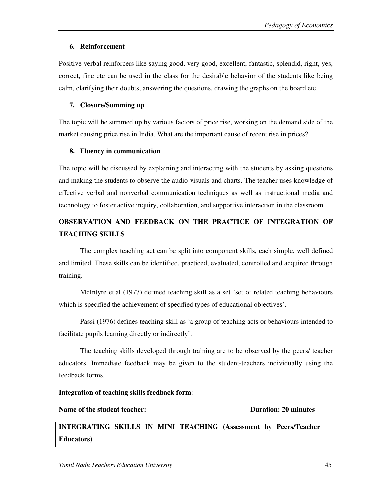#### **6. Reinforcement**

Positive verbal reinforcers like saying good, very good, excellent, fantastic, splendid, right, yes, correct, fine etc can be used in the class for the desirable behavior of the students like being calm, clarifying their doubts, answering the questions, drawing the graphs on the board etc.

#### **7. Closure/Summing up**

The topic will be summed up by various factors of price rise, working on the demand side of the market causing price rise in India. What are the important cause of recent rise in prices?

#### **8. Fluency in communication**

The topic will be discussed by explaining and interacting with the students by asking questions and making the students to observe the audio-visuals and charts. The teacher uses knowledge of effective verbal and nonverbal communication techniques as well as instructional media and technology to foster active inquiry, collaboration, and supportive interaction in the classroom.

# **OBSERVATION AND FEEDBACK ON THE PRACTICE OF INTEGRATION OF TEACHING SKILLS**

The complex teaching act can be split into component skills, each simple, well defined and limited. These skills can be identified, practiced, evaluated, controlled and acquired through training.

McIntyre et.al (1977) defined teaching skill as a set 'set of related teaching behaviours which is specified the achievement of specified types of educational objectives'.

Passi (1976) defines teaching skill as 'a group of teaching acts or behaviours intended to facilitate pupils learning directly or indirectly'.

The teaching skills developed through training are to be observed by the peers/ teacher educators. Immediate feedback may be given to the student-teachers individually using the feedback forms.

## **Integration of teaching skills feedback form:**

#### **Name of the student teacher:**  $\qquad \qquad \qquad$  Duration: 20 minutes

**INTEGRATING SKILLS IN MINI TEACHING (Assessment by Peers/Teacher Educators)**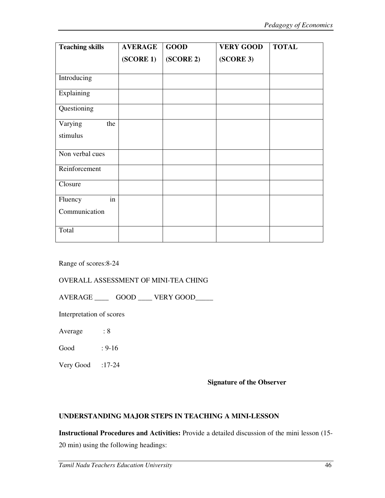| <b>Teaching skills</b>            | <b>AVERAGE</b> | <b>GOOD</b> | <b>VERY GOOD</b> | <b>TOTAL</b> |
|-----------------------------------|----------------|-------------|------------------|--------------|
|                                   | (SCORE1)       | (SCORE 2)   | (SCORE 3)        |              |
| Introducing                       |                |             |                  |              |
| Explaining                        |                |             |                  |              |
| Questioning                       |                |             |                  |              |
| Varying<br>the                    |                |             |                  |              |
| stimulus                          |                |             |                  |              |
| Non verbal cues                   |                |             |                  |              |
| Reinforcement                     |                |             |                  |              |
| Closure                           |                |             |                  |              |
| $\overline{\text{in}}$<br>Fluency |                |             |                  |              |
| Communication                     |                |             |                  |              |
| Total                             |                |             |                  |              |

Range of scores:8-24

#### OVERALL ASSESSMENT OF MINI-TEA CHING

AVERAGE \_\_\_\_\_\_ GOOD \_\_\_\_ VERY GOOD\_\_\_\_\_

Interpretation of scores

Average : 8

Good : 9-16

Very Good :17-24

#### **Signature of the Observer**

#### **UNDERSTANDING MAJOR STEPS IN TEACHING A MINI-LESSON**

**Instructional Procedures and Activities:** Provide a detailed discussion of the mini lesson (15-

20 min) using the following headings: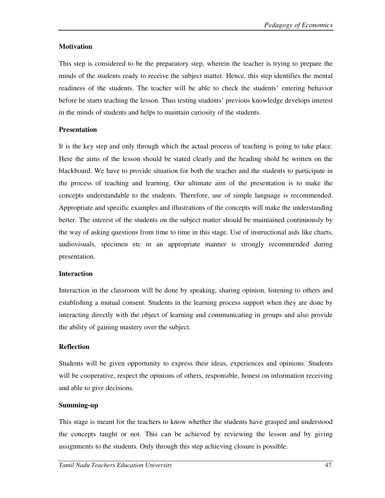#### **Motivation**

This step is considered to be the preparatory step, wherein the teacher is trying to prepare the minds of the students ready to receive the subject matter. Hence, this step identifies the mental readiness of the students. The teacher will be able to check the students' entering behavior before he starts teaching the lesson. Thus testing students' previous knowledge develops interest in the minds of students and helps to maintain curiosity of the students.

## **Presentation**

It is the key step and only through which the actual process of teaching is going to take place. Here the aims of the lesson should be stated clearly and the heading shold be written on the blackboard. We have to provide situation for both the teacher and the students to participate in the process of teaching and learning. Our ultimate aim of the presentation is to make the concepts understandable to the students. Therefore, use of simple language is recommended. Appropriate and specific examples and illustrations of the concepts will make the understanding better. The interest of the students on the subject matter should be maintained continuously by the way of asking questions from time to time in this stage. Use of instructional aids like charts, audiovisuals, specimen etc in an appropriate manner is strongly recommended during presentation.

#### **Interaction**

Interaction in the classroom will be done by speaking, sharing opinion, listening to others and establishing a mutual consent. Students in the learning process support when they are done by interacting directly with the object of learning and communicating in groups and also provide the ability of gaining mastery over the subject.

#### **Reflection**

Students will be given opportunity to express their ideas, experiences and opinions. Students will be cooperative, respect the opinions of others, responsible, honest on information receiving and able to give decisions.

#### **Summing-up**

This stage is meant for the teachers to know whether the students have grasped and understood the concepts taught or not. This can be achieved by reviewing the lesson and by giving assignments to the students. Only through this step achieving closure is possible.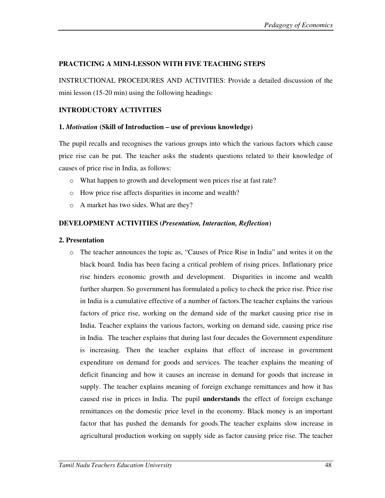## **PRACTICING A MINI-LESSON WITH FIVE TEACHING STEPS**

INSTRUCTIONAL PROCEDURES AND ACTIVITIES: Provide a detailed discussion of the mini lesson (15-20 min) using the following headings:

## **INTRODUCTORY ACTIVITIES**

## **1.** *Motivation* **(Skill of Introduction – use of previous knowledge)**

The pupil recalls and recognises the various groups into which the various factors which cause price rise can be put. The teacher asks the students questions related to their knowledge of causes of price rise in India, as follows:

- o What happen to growth and development wen prices rise at fast rate?
- o How price rise affects disparities in income and wealth?
- o A market has two sides. What are they?

## **DEVELOPMENT ACTIVITIES (***Presentation, Interaction, Reflection***)**

## **2. Presentation**

o The teacher announces the topic as, "Causes of Price Rise in India" and writes it on the black board. India has been facing a critical problem of rising prices. Inflationary price rise hinders economic growth and development. Disparities in income and wealth further sharpen. So government has formulated a policy to check the price rise. Price rise in India is a cumulative effective of a number of factors.The teacher explains the various factors of price rise, working on the demand side of the market causing price rise in India. Teacher explains the various factors, working on demand side, causing price rise in India. The teacher explains that during last four decades the Government expenditure is increasing. Then the teacher explains that effect of increase in government expenditure on demand for goods and services. The teacher explains the meaning of deficit financing and how it causes an increase in demand for goods that increase in supply. The teacher explains meaning of foreign exchange remittances and how it has caused rise in prices in India. The pupil **understands** the effect of foreign exchange remittances on the domestic price level in the economy. Black money is an important factor that has pushed the demands for goods.The teacher explains slow increase in agricultural production working on supply side as factor causing price rise. The teacher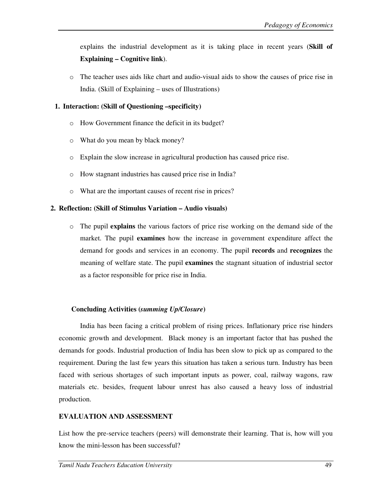explains the industrial development as it is taking place in recent years (**Skill of Explaining – Cognitive link**).

o The teacher uses aids like chart and audio-visual aids to show the causes of price rise in India. (Skill of Explaining – uses of Illustrations)

#### **1. Interaction: (Skill of Questioning –specificity)**

- o How Government finance the deficit in its budget?
- o What do you mean by black money?
- o Explain the slow increase in agricultural production has caused price rise.
- o How stagnant industries has caused price rise in India?
- o What are the important causes of recent rise in prices?

#### **2. Reflection: (Skill of Stimulus Variation – Audio visuals)**

o The pupil **explains** the various factors of price rise working on the demand side of the market. The pupil **examines** how the increase in government expenditure affect the demand for goods and services in an economy. The pupil **records** and **recognizes** the meaning of welfare state. The pupil **examines** the stagnant situation of industrial sector as a factor responsible for price rise in India.

#### **Concluding Activities (***summing Up/Closure***)**

 India has been facing a critical problem of rising prices. Inflationary price rise hinders economic growth and development. Black money is an important factor that has pushed the demands for goods. Industrial production of India has been slow to pick up as compared to the requirement. During the last few years this situation has taken a serious turn. Industry has been faced with serious shortages of such important inputs as power, coal, railway wagons, raw materials etc. besides, frequent labour unrest has also caused a heavy loss of industrial production.

#### **EVALUATION AND ASSESSMENT**

List how the pre-service teachers (peers) will demonstrate their learning. That is, how will you know the mini-lesson has been successful?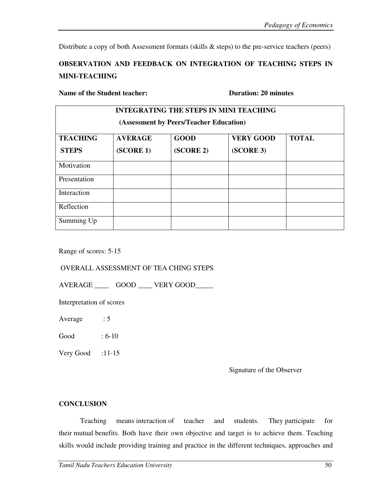Distribute a copy of both Assessment formats (skills & steps) to the pre-service teachers (peers)

# **OBSERVATION AND FEEDBACK ON INTEGRATION OF TEACHING STEPS IN MINI-TEACHING**

#### **Name of the Student teacher: Duration: 20 minutes Duration: 20 minutes**

| <b>INTEGRATING THE STEPS IN MINI TEACHING</b><br>(Assessment by Peers/Teacher Education) |                             |                          |                               |              |  |  |  |
|------------------------------------------------------------------------------------------|-----------------------------|--------------------------|-------------------------------|--------------|--|--|--|
| <b>TEACHING</b><br><b>STEPS</b>                                                          | <b>AVERAGE</b><br>(SCORE 1) | <b>GOOD</b><br>(SCORE 2) | <b>VERY GOOD</b><br>(SCORE 3) | <b>TOTAL</b> |  |  |  |
| Motivation                                                                               |                             |                          |                               |              |  |  |  |
| Presentation                                                                             |                             |                          |                               |              |  |  |  |
| Interaction                                                                              |                             |                          |                               |              |  |  |  |
| Reflection                                                                               |                             |                          |                               |              |  |  |  |
| Summing Up                                                                               |                             |                          |                               |              |  |  |  |

Range of scores: 5-15

OVERALL ASSESSMENT OF TEA CHING STEPS

AVERAGE GOOD VERY GOOD

Interpretation of scores

Average : 5

Good : 6-10

Very Good  $:11-15$ 

Signature of the Observer

#### **CONCLUSION**

Teaching means interaction of teacher and students. They participate for their mutual benefits. Both have their own objective and target is to achieve them. Teaching skills would include providing training and practice in the different techniques, approaches and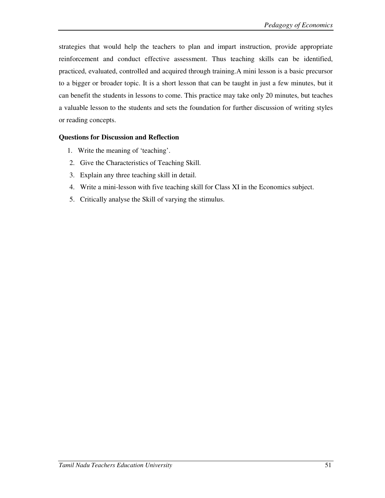strategies that would help the teachers to plan and impart instruction, provide appropriate reinforcement and conduct effective assessment. Thus teaching skills can be identified, practiced, evaluated, controlled and acquired through training.A mini lesson is a basic precursor to a bigger or broader topic. It is a short lesson that can be taught in just a few minutes, but it can benefit the students in lessons to come. This practice may take only 20 minutes, but teaches a valuable lesson to the students and sets the foundation for further discussion of writing styles or reading concepts.

## **Questions for Discussion and Reflection**

- 1. Write the meaning of 'teaching'.
- 2. Give the Characteristics of Teaching Skill.
- 3. Explain any three teaching skill in detail.
- 4. Write a mini-lesson with five teaching skill for Class XI in the Economics subject.
- 5. Critically analyse the Skill of varying the stimulus.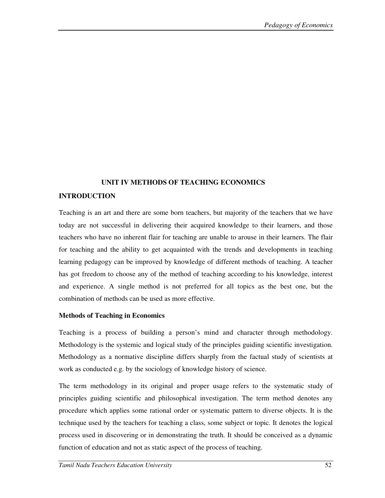#### **UNIT IV METHODS OF TEACHING ECONOMICS**

#### **INTRODUCTION**

Teaching is an art and there are some born teachers, but majority of the teachers that we have today are not successful in delivering their acquired knowledge to their learners, and those teachers who have no inherent flair for teaching are unable to arouse in their learners. The flair for teaching and the ability to get acquainted with the trends and developments in teaching learning pedagogy can be improved by knowledge of different methods of teaching. A teacher has got freedom to choose any of the method of teaching according to his knowledge, interest and experience. A single method is not preferred for all topics as the best one, but the combination of methods can be used as more effective.

#### **Methods of Teaching in Economics**

Teaching is a process of building a person's mind and character through methodology. Methodology is the systemic and logical study of the principles guiding scientific investigation. Methodology as a normative discipline differs sharply from the factual study of scientists at work as conducted e.g. by the sociology of knowledge history of science.

The term methodology in its original and proper usage refers to the systematic study of principles guiding scientific and philosophical investigation. The term method denotes any procedure which applies some rational order or systematic pattern to diverse objects. It is the technique used by the teachers for teaching a class, some subject or topic. It denotes the logical process used in discovering or in demonstrating the truth. It should be conceived as a dynamic function of education and not as static aspect of the process of teaching.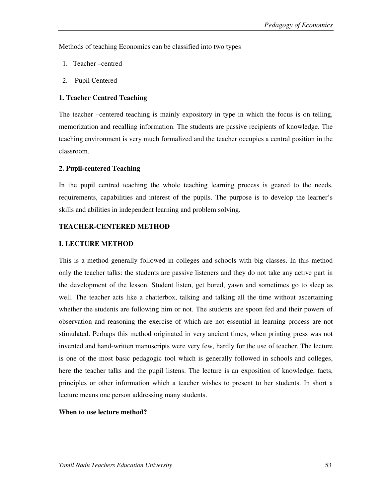Methods of teaching Economics can be classified into two types

- 1. Teacher –centred
- 2. Pupil Centered

## **1. Teacher Centred Teaching**

The teacher –centered teaching is mainly expository in type in which the focus is on telling, memorization and recalling information. The students are passive recipients of knowledge. The teaching environment is very much formalized and the teacher occupies a central position in the classroom.

## **2. Pupil-centered Teaching**

In the pupil centred teaching the whole teaching learning process is geared to the needs, requirements, capabilities and interest of the pupils. The purpose is to develop the learner's skills and abilities in independent learning and problem solving.

## **TEACHER-CENTERED METHOD**

## **I. LECTURE METHOD**

This is a method generally followed in colleges and schools with big classes. In this method only the teacher talks: the students are passive listeners and they do not take any active part in the development of the lesson. Student listen, get bored, yawn and sometimes go to sleep as well. The teacher acts like a chatterbox, talking and talking all the time without ascertaining whether the students are following him or not. The students are spoon fed and their powers of observation and reasoning the exercise of which are not essential in learning process are not stimulated. Perhaps this method originated in very ancient times, when printing press was not invented and hand-written manuscripts were very few, hardly for the use of teacher. The lecture is one of the most basic pedagogic tool which is generally followed in schools and colleges, here the teacher talks and the pupil listens. The lecture is an exposition of knowledge, facts, principles or other information which a teacher wishes to present to her students. In short a lecture means one person addressing many students.

#### **When to use lecture method?**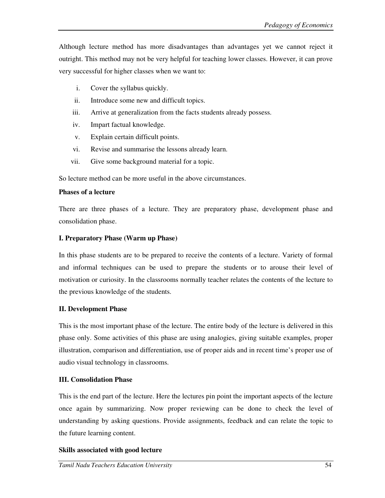Although lecture method has more disadvantages than advantages yet we cannot reject it outright. This method may not be very helpful for teaching lower classes. However, it can prove very successful for higher classes when we want to:

- i. Cover the syllabus quickly.
- ii. Introduce some new and difficult topics.
- iii. Arrive at generalization from the facts students already possess.
- iv. Impart factual knowledge.
- v. Explain certain difficult points.
- vi. Revise and summarise the lessons already learn.
- vii. Give some background material for a topic.

So lecture method can be more useful in the above circumstances.

## **Phases of a lecture**

There are three phases of a lecture. They are preparatory phase, development phase and consolidation phase.

## **I. Preparatory Phase (Warm up Phase)**

In this phase students are to be prepared to receive the contents of a lecture. Variety of formal and informal techniques can be used to prepare the students or to arouse their level of motivation or curiosity. In the classrooms normally teacher relates the contents of the lecture to the previous knowledge of the students.

## **II. Development Phase**

This is the most important phase of the lecture. The entire body of the lecture is delivered in this phase only. Some activities of this phase are using analogies, giving suitable examples, proper illustration, comparison and differentiation, use of proper aids and in recent time's proper use of audio visual technology in classrooms.

## **III. Consolidation Phase**

This is the end part of the lecture. Here the lectures pin point the important aspects of the lecture once again by summarizing. Now proper reviewing can be done to check the level of understanding by asking questions. Provide assignments, feedback and can relate the topic to the future learning content.

## **Skills associated with good lecture**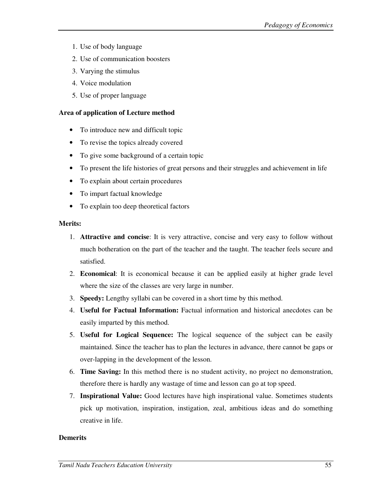- 1. Use of body language
- 2. Use of communication boosters
- 3. Varying the stimulus
- 4. Voice modulation
- 5. Use of proper language

#### **Area of application of Lecture method**

- To introduce new and difficult topic
- To revise the topics already covered
- To give some background of a certain topic
- To present the life histories of great persons and their struggles and achievement in life
- To explain about certain procedures
- To impart factual knowledge
- To explain too deep theoretical factors

#### **Merits:**

- 1. **Attractive and concise**: It is very attractive, concise and very easy to follow without much botheration on the part of the teacher and the taught. The teacher feels secure and satisfied.
- 2. **Economical**: It is economical because it can be applied easily at higher grade level where the size of the classes are very large in number.
- 3. **Speedy:** Lengthy syllabi can be covered in a short time by this method.
- 4. **Useful for Factual Information:** Factual information and historical anecdotes can be easily imparted by this method.
- 5. **Useful for Logical Sequence:** The logical sequence of the subject can be easily maintained. Since the teacher has to plan the lectures in advance, there cannot be gaps or over-lapping in the development of the lesson.
- 6. **Time Saving:** In this method there is no student activity, no project no demonstration, therefore there is hardly any wastage of time and lesson can go at top speed.
- 7. **Inspirational Value:** Good lectures have high inspirational value. Sometimes students pick up motivation, inspiration, instigation, zeal, ambitious ideas and do something creative in life.

#### **Demerits**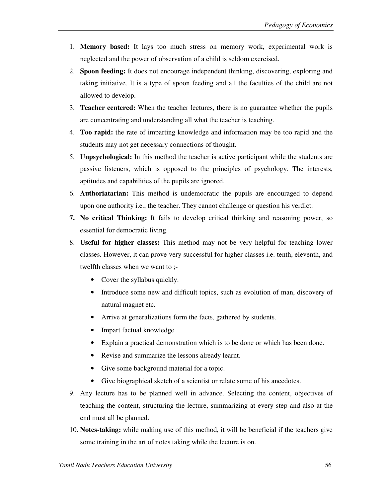- 1. **Memory based:** It lays too much stress on memory work, experimental work is neglected and the power of observation of a child is seldom exercised.
- 2. **Spoon feeding:** It does not encourage independent thinking, discovering, exploring and taking initiative. It is a type of spoon feeding and all the faculties of the child are not allowed to develop.
- 3. **Teacher centered:** When the teacher lectures, there is no guarantee whether the pupils are concentrating and understanding all what the teacher is teaching.
- 4. **Too rapid:** the rate of imparting knowledge and information may be too rapid and the students may not get necessary connections of thought.
- 5. **Unpsychological:** In this method the teacher is active participant while the students are passive listeners, which is opposed to the principles of psychology. The interests, aptitudes and capabilities of the pupils are ignored.
- 6. **Authoriatarian:** This method is undemocratic the pupils are encouraged to depend upon one authority i.e., the teacher. They cannot challenge or question his verdict.
- **7. No critical Thinking:** It fails to develop critical thinking and reasoning power, so essential for democratic living.
- 8. **Useful for higher classes:** This method may not be very helpful for teaching lower classes. However, it can prove very successful for higher classes i.e. tenth, eleventh, and twelfth classes when we want to ;-
	- Cover the syllabus quickly.
	- Introduce some new and difficult topics, such as evolution of man, discovery of natural magnet etc.
	- Arrive at generalizations form the facts, gathered by students.
	- Impart factual knowledge.
	- Explain a practical demonstration which is to be done or which has been done.
	- Revise and summarize the lessons already learnt.
	- Give some background material for a topic.
	- Give biographical sketch of a scientist or relate some of his anecdotes.
- 9. Any lecture has to be planned well in advance. Selecting the content, objectives of teaching the content, structuring the lecture, summarizing at every step and also at the end must all be planned.
- 10. **Notes-taking:** while making use of this method, it will be beneficial if the teachers give some training in the art of notes taking while the lecture is on.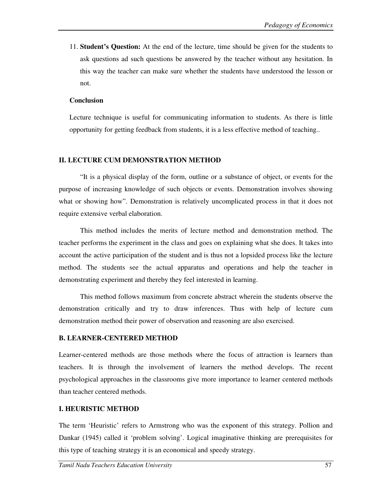11. **Student's Question:** At the end of the lecture, time should be given for the students to ask questions ad such questions be answered by the teacher without any hesitation. In this way the teacher can make sure whether the students have understood the lesson or not.

## **Conclusion**

Lecture technique is useful for communicating information to students. As there is little opportunity for getting feedback from students, it is a less effective method of teaching..

## **II. LECTURE CUM DEMONSTRATION METHOD**

"It is a physical display of the form, outline or a substance of object, or events for the purpose of increasing knowledge of such objects or events. Demonstration involves showing what or showing how". Demonstration is relatively uncomplicated process in that it does not require extensive verbal elaboration.

This method includes the merits of lecture method and demonstration method. The teacher performs the experiment in the class and goes on explaining what she does. It takes into account the active participation of the student and is thus not a lopsided process like the lecture method. The students see the actual apparatus and operations and help the teacher in demonstrating experiment and thereby they feel interested in learning.

This method follows maximum from concrete abstract wherein the students observe the demonstration critically and try to draw inferences. Thus with help of lecture cum demonstration method their power of observation and reasoning are also exercised.

## **B. LEARNER-CENTERED METHOD**

Learner-centered methods are those methods where the focus of attraction is learners than teachers. It is through the involvement of learners the method develops. The recent psychological approaches in the classrooms give more importance to learner centered methods than teacher centered methods.

# **I. HEURISTIC METHOD**

The term 'Heuristic' refers to Armstrong who was the exponent of this strategy. Pollion and Dankar (1945) called it 'problem solving'. Logical imaginative thinking are prerequisites for this type of teaching strategy it is an economical and speedy strategy.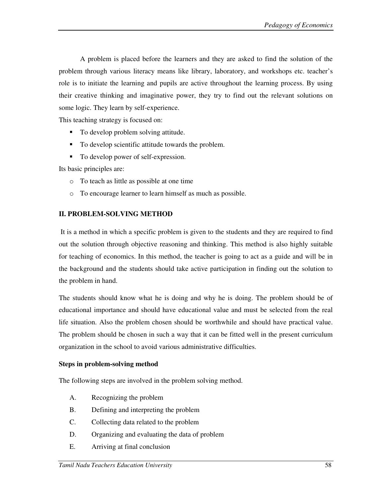A problem is placed before the learners and they are asked to find the solution of the problem through various literacy means like library, laboratory, and workshops etc. teacher's role is to initiate the learning and pupils are active throughout the learning process. By using their creative thinking and imaginative power, they try to find out the relevant solutions on some logic. They learn by self-experience.

This teaching strategy is focused on:

- To develop problem solving attitude.
- -To develop scientific attitude towards the problem.
- -To develop power of self-expression.

Its basic principles are:

- o To teach as little as possible at one time
- o To encourage learner to learn himself as much as possible.

## **II. PROBLEM-SOLVING METHOD**

 It is a method in which a specific problem is given to the students and they are required to find out the solution through objective reasoning and thinking. This method is also highly suitable for teaching of economics. In this method, the teacher is going to act as a guide and will be in the background and the students should take active participation in finding out the solution to the problem in hand.

The students should know what he is doing and why he is doing. The problem should be of educational importance and should have educational value and must be selected from the real life situation. Also the problem chosen should be worthwhile and should have practical value. The problem should be chosen in such a way that it can be fitted well in the present curriculum organization in the school to avoid various administrative difficulties.

## **Steps in problem-solving method**

The following steps are involved in the problem solving method.

- A. Recognizing the problem
- B. Defining and interpreting the problem
- C. Collecting data related to the problem
- D. Organizing and evaluating the data of problem
- E. Arriving at final conclusion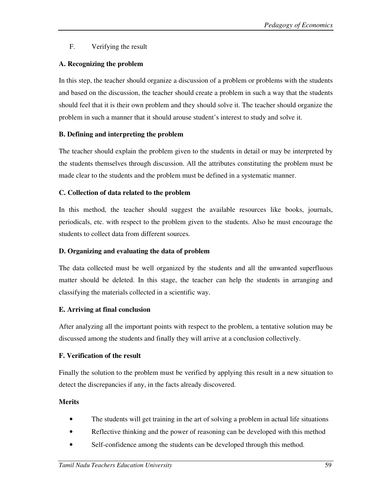# F. Verifying the result

# **A. Recognizing the problem**

In this step, the teacher should organize a discussion of a problem or problems with the students and based on the discussion, the teacher should create a problem in such a way that the students should feel that it is their own problem and they should solve it. The teacher should organize the problem in such a manner that it should arouse student's interest to study and solve it.

# **B. Defining and interpreting the problem**

The teacher should explain the problem given to the students in detail or may be interpreted by the students themselves through discussion. All the attributes constituting the problem must be made clear to the students and the problem must be defined in a systematic manner.

## **C. Collection of data related to the problem**

In this method, the teacher should suggest the available resources like books, journals, periodicals, etc. with respect to the problem given to the students. Also he must encourage the students to collect data from different sources.

# **D. Organizing and evaluating the data of problem**

The data collected must be well organized by the students and all the unwanted superfluous matter should be deleted. In this stage, the teacher can help the students in arranging and classifying the materials collected in a scientific way.

# **E. Arriving at final conclusion**

After analyzing all the important points with respect to the problem, a tentative solution may be discussed among the students and finally they will arrive at a conclusion collectively.

## **F. Verification of the result**

Finally the solution to the problem must be verified by applying this result in a new situation to detect the discrepancies if any, in the facts already discovered.

# **Merits**

- The students will get training in the art of solving a problem in actual life situations
- Reflective thinking and the power of reasoning can be developed with this method
- Self-confidence among the students can be developed through this method.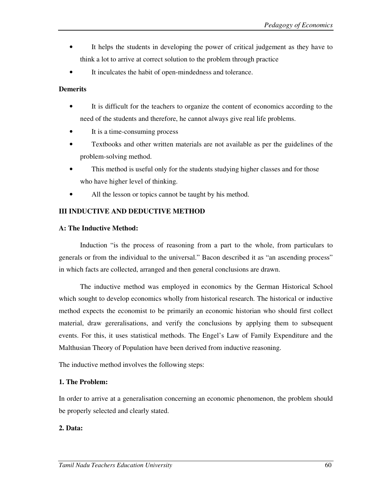- It helps the students in developing the power of critical judgement as they have to think a lot to arrive at correct solution to the problem through practice
- It inculcates the habit of open-mindedness and tolerance.

#### **Demerits**

- It is difficult for the teachers to organize the content of economics according to the need of the students and therefore, he cannot always give real life problems.
- It is a time-consuming process
- Textbooks and other written materials are not available as per the guidelines of the problem-solving method.
- This method is useful only for the students studying higher classes and for those who have higher level of thinking.
- All the lesson or topics cannot be taught by his method.

#### **III INDUCTIVE AND DEDUCTIVE METHOD**

#### **A: The Inductive Method:**

Induction "is the process of reasoning from a part to the whole, from particulars to generals or from the individual to the universal." Bacon described it as "an ascending process" in which facts are collected, arranged and then general conclusions are drawn.

The inductive method was employed in economics by the German Historical School which sought to develop economics wholly from historical research. The historical or inductive method expects the economist to be primarily an economic historian who should first collect material, draw gereralisations, and verify the conclusions by applying them to subsequent events. For this, it uses statistical methods. The Engel's Law of Family Expenditure and the Malthusian Theory of Population have been derived from inductive reasoning.

The inductive method involves the following steps:

#### **1. The Problem:**

In order to arrive at a generalisation concerning an economic phenomenon, the problem should be properly selected and clearly stated.

#### **2. Data:**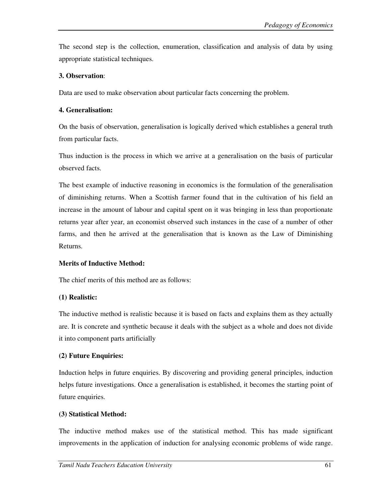The second step is the collection, enumeration, classification and analysis of data by using appropriate statistical techniques.

## **3. Observation**:

Data are used to make observation about particular facts concerning the problem.

## **4. Generalisation:**

On the basis of observation, generalisation is logically derived which establishes a general truth from particular facts.

Thus induction is the process in which we arrive at a generalisation on the basis of particular observed facts.

The best example of inductive reasoning in economics is the formulation of the generalisation of diminishing returns. When a Scottish farmer found that in the cultivation of his field an increase in the amount of labour and capital spent on it was bringing in less than proportionate returns year after year, an economist observed such instances in the case of a number of other farms, and then he arrived at the generalisation that is known as the Law of Diminishing Returns.

## **Merits of Inductive Method:**

The chief merits of this method are as follows:

## **(1) Realistic:**

The inductive method is realistic because it is based on facts and explains them as they actually are. It is concrete and synthetic because it deals with the subject as a whole and does not divide it into component parts artificially

# **(2) Future Enquiries:**

Induction helps in future enquiries. By discovering and providing general principles, induction helps future investigations. Once a generalisation is established, it becomes the starting point of future enquiries.

## **(3) Statistical Method:**

The inductive method makes use of the statistical method. This has made significant improvements in the application of induction for analysing economic problems of wide range.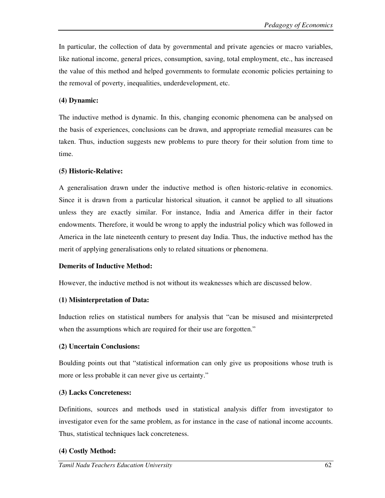In particular, the collection of data by governmental and private agencies or macro variables, like national income, general prices, consumption, saving, total employment, etc., has increased the value of this method and helped governments to formulate economic policies pertaining to the removal of poverty, inequalities, underdevelopment, etc.

## **(4) Dynamic:**

The inductive method is dynamic. In this, changing economic phenomena can be analysed on the basis of experiences, conclusions can be drawn, and appropriate remedial measures can be taken. Thus, induction suggests new problems to pure theory for their solution from time to time.

## **(5) Historic-Relative:**

A generalisation drawn under the inductive method is often historic-relative in economics. Since it is drawn from a particular historical situation, it cannot be applied to all situations unless they are exactly similar. For instance, India and America differ in their factor endowments. Therefore, it would be wrong to apply the industrial policy which was followed in America in the late nineteenth century to present day India. Thus, the inductive method has the merit of applying generalisations only to related situations or phenomena.

#### **Demerits of Inductive Method:**

However, the inductive method is not without its weaknesses which are discussed below.

#### **(1) Misinterpretation of Data:**

Induction relies on statistical numbers for analysis that "can be misused and misinterpreted when the assumptions which are required for their use are forgotten."

#### **(2) Uncertain Conclusions:**

Boulding points out that "statistical information can only give us propositions whose truth is more or less probable it can never give us certainty."

## **(3) Lacks Concreteness:**

Definitions, sources and methods used in statistical analysis differ from investigator to investigator even for the same problem, as for instance in the case of national income accounts. Thus, statistical techniques lack concreteness.

## **(4) Costly Method:**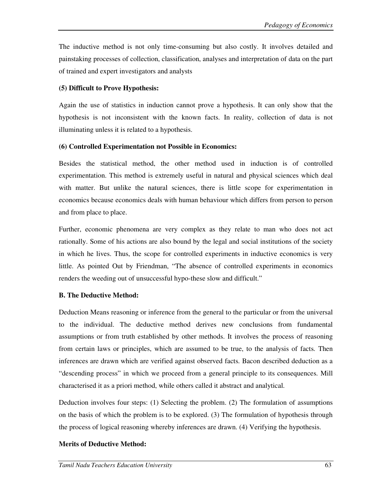The inductive method is not only time-consuming but also costly. It involves detailed and painstaking processes of collection, classification, analyses and interpretation of data on the part of trained and expert investigators and analysts

## **(5) Difficult to Prove Hypothesis:**

Again the use of statistics in induction cannot prove a hypothesis. It can only show that the hypothesis is not inconsistent with the known facts. In reality, collection of data is not illuminating unless it is related to a hypothesis.

## **(6) Controlled Experimentation not Possible in Economics:**

Besides the statistical method, the other method used in induction is of controlled experimentation. This method is extremely useful in natural and physical sciences which deal with matter. But unlike the natural sciences, there is little scope for experimentation in economics because economics deals with human behaviour which differs from person to person and from place to place.

Further, economic phenomena are very complex as they relate to man who does not act rationally. Some of his actions are also bound by the legal and social institutions of the society in which he lives. Thus, the scope for controlled experiments in inductive economics is very little. As pointed Out by Friendman, "The absence of controlled experiments in economics renders the weeding out of unsuccessful hypo-these slow and difficult."

## **B. The Deductive Method:**

Deduction Means reasoning or inference from the general to the particular or from the universal to the individual. The deductive method derives new conclusions from fundamental assumptions or from truth established by other methods. It involves the process of reasoning from certain laws or principles, which are assumed to be true, to the analysis of facts. Then inferences are drawn which are verified against observed facts. Bacon described deduction as a "descending process" in which we proceed from a general principle to its consequences. Mill characterised it as a priori method, while others called it abstract and analytical.

Deduction involves four steps: (1) Selecting the problem. (2) The formulation of assumptions on the basis of which the problem is to be explored. (3) The formulation of hypothesis through the process of logical reasoning whereby inferences are drawn. (4) Verifying the hypothesis.

## **Merits of Deductive Method:**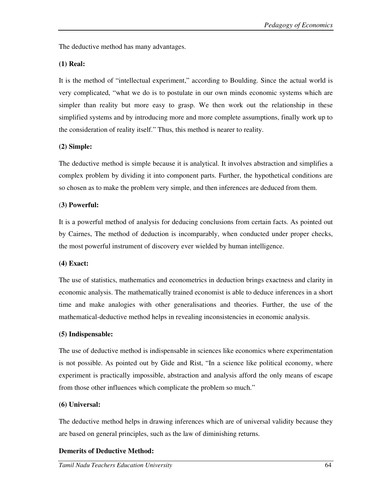The deductive method has many advantages.

## **(1) Real:**

It is the method of "intellectual experiment," according to Boulding. Since the actual world is very complicated, "what we do is to postulate in our own minds economic systems which are simpler than reality but more easy to grasp. We then work out the relationship in these simplified systems and by introducing more and more complete assumptions, finally work up to the consideration of reality itself." Thus, this method is nearer to reality.

## **(2) Simple:**

The deductive method is simple because it is analytical. It involves abstraction and simplifies a complex problem by dividing it into component parts. Further, the hypothetical conditions are so chosen as to make the problem very simple, and then inferences are deduced from them.

## (**3) Powerful:**

It is a powerful method of analysis for deducing conclusions from certain facts. As pointed out by Cairnes, The method of deduction is incomparably, when conducted under proper checks, the most powerful instrument of discovery ever wielded by human intelligence.

## **(4) Exact:**

The use of statistics, mathematics and econometrics in deduction brings exactness and clarity in economic analysis. The mathematically trained economist is able to deduce inferences in a short time and make analogies with other generalisations and theories. Further, the use of the mathematical-deductive method helps in revealing inconsistencies in economic analysis.

## **(5) Indispensable:**

The use of deductive method is indispensable in sciences like economics where experimentation is not possible. As pointed out by Gide and Rist, "In a science like political economy, where experiment is practically impossible, abstraction and analysis afford the only means of escape from those other influences which complicate the problem so much."

## **(6) Universal:**

The deductive method helps in drawing inferences which are of universal validity because they are based on general principles, such as the law of diminishing returns.

# **Demerits of Deductive Method:**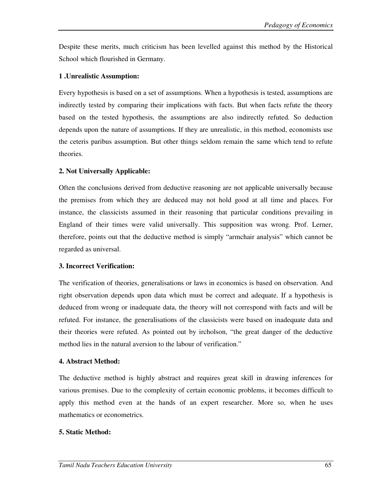Despite these merits, much criticism has been levelled against this method by the Historical School which flourished in Germany.

## **1 .Unrealistic Assumption:**

Every hypothesis is based on a set of assumptions. When a hypothesis is tested, assumptions are indirectly tested by comparing their implications with facts. But when facts refute the theory based on the tested hypothesis, the assumptions are also indirectly refuted. So deduction depends upon the nature of assumptions. If they are unrealistic, in this method, economists use the ceteris paribus assumption. But other things seldom remain the same which tend to refute theories.

## **2. Not Universally Applicable:**

Often the conclusions derived from deductive reasoning are not applicable universally because the premises from which they are deduced may not hold good at all time and places. For instance, the classicists assumed in their reasoning that particular conditions prevailing in England of their times were valid universally. This supposition was wrong. Prof. Lerner, therefore, points out that the deductive method is simply "armchair analysis" which cannot be regarded as universal.

## **3. Incorrect Verification:**

The verification of theories, generalisations or laws in economics is based on observation. And right observation depends upon data which must be correct and adequate. If a hypothesis is deduced from wrong or inadequate data, the theory will not correspond with facts and will be refuted. For instance, the generalisations of the classicists were based on inadequate data and their theories were refuted. As pointed out by ircholson, "the great danger of the deductive method lies in the natural aversion to the labour of verification."

## **4. Abstract Method:**

The deductive method is highly abstract and requires great skill in drawing inferences for various premises. Due to the complexity of certain economic problems, it becomes difficult to apply this method even at the hands of an expert researcher. More so, when he uses mathematics or econometrics.

## **5. Static Method:**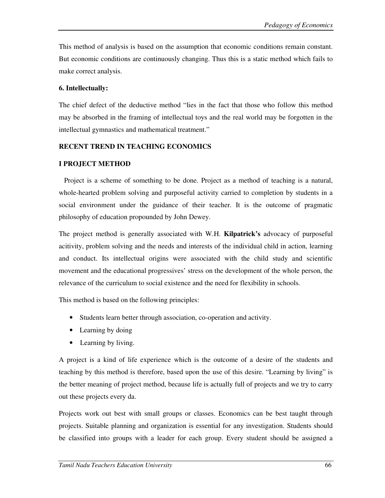This method of analysis is based on the assumption that economic conditions remain constant. But economic conditions are continuously changing. Thus this is a static method which fails to make correct analysis.

#### **6. Intellectually:**

The chief defect of the deductive method "lies in the fact that those who follow this method may be absorbed in the framing of intellectual toys and the real world may be forgotten in the intellectual gymnastics and mathematical treatment."

#### **RECENT TREND IN TEACHING ECONOMICS**

#### **I PROJECT METHOD**

Project is a scheme of something to be done. Project as a method of teaching is a natural, whole-hearted problem solving and purposeful activity carried to completion by students in a social environment under the guidance of their teacher. It is the outcome of pragmatic philosophy of education propounded by John Dewey.

The project method is generally associated with W.H. **Kilpatrick's** advocacy of purposeful acitivity, problem solving and the needs and interests of the individual child in action, learning and conduct. Its intellectual origins were associated with the child study and scientific movement and the educational progressives' stress on the development of the whole person, the relevance of the curriculum to social existence and the need for flexibility in schools.

This method is based on the following principles:

- Students learn better through association, co-operation and activity.
- Learning by doing
- Learning by living.

A project is a kind of life experience which is the outcome of a desire of the students and teaching by this method is therefore, based upon the use of this desire. "Learning by living" is the better meaning of project method, because life is actually full of projects and we try to carry out these projects every da.

Projects work out best with small groups or classes. Economics can be best taught through projects. Suitable planning and organization is essential for any investigation. Students should be classified into groups with a leader for each group. Every student should be assigned a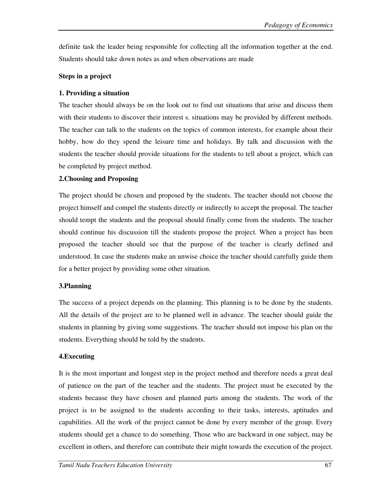definite task the leader being responsible for collecting all the information together at the end. Students should take down notes as and when observations are made

#### **Steps in a project**

## **1. Providing a situation**

The teacher should always be on the look out to find out situations that arise and discuss them with their students to discover their interest s. situations may be provided by different methods. The teacher can talk to the students on the topics of common interests, for example about their hobby, how do they spend the leisure time and holidays. By talk and discussion with the students the teacher should provide situations for the students to tell about a project, which can be completed by project method.

## **2.Choosing and Proposing**

The project should be chosen and proposed by the students. The teacher should not choose the project himself and compel the students directly or indirectly to accept the proposal. The teacher should tempt the students and the proposal should finally come from the students. The teacher should continue his discussion till the students propose the project. When a project has been proposed the teacher should see that the purpose of the teacher is clearly defined and understood. In case the students make an unwise choice the teacher should carefully guide them for a better project by providing some other situation.

## **3.Planning**

The success of a project depends on the planning. This planning is to be done by the students. All the details of the project are to be planned well in advance. The teacher should guide the students in planning by giving some suggestions. The teacher should not impose his plan on the students. Everything should be told by the students.

## **4.Executing**

It is the most important and longest step in the project method and therefore needs a great deal of patience on the part of the teacher and the students. The project must be executed by the students because they have chosen and planned parts among the students. The work of the project is to be assigned to the students according to their tasks, interests, aptitudes and capabilities. All the work of the project cannot be done by every member of the group. Every students should get a chance to do something. Those who are backward in one subject, may be excellent in others, and therefore can contribute their might towards the execution of the project.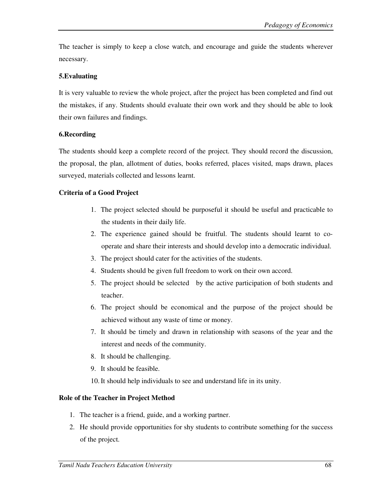The teacher is simply to keep a close watch, and encourage and guide the students wherever necessary.

## **5.Evaluating**

It is very valuable to review the whole project, after the project has been completed and find out the mistakes, if any. Students should evaluate their own work and they should be able to look their own failures and findings.

## **6.Recording**

The students should keep a complete record of the project. They should record the discussion, the proposal, the plan, allotment of duties, books referred, places visited, maps drawn, places surveyed, materials collected and lessons learnt.

## **Criteria of a Good Project**

- 1. The project selected should be purposeful it should be useful and practicable to the students in their daily life.
- 2. The experience gained should be fruitful. The students should learnt to cooperate and share their interests and should develop into a democratic individual.
- 3. The project should cater for the activities of the students.
- 4. Students should be given full freedom to work on their own accord.
- 5. The project should be selected by the active participation of both students and teacher.
- 6. The project should be economical and the purpose of the project should be achieved without any waste of time or money.
- 7. It should be timely and drawn in relationship with seasons of the year and the interest and needs of the community.
- 8. It should be challenging.
- 9. It should be feasible.
- 10.It should help individuals to see and understand life in its unity.

## **Role of the Teacher in Project Method**

- 1. The teacher is a friend, guide, and a working partner.
- 2. He should provide opportunities for shy students to contribute something for the success of the project.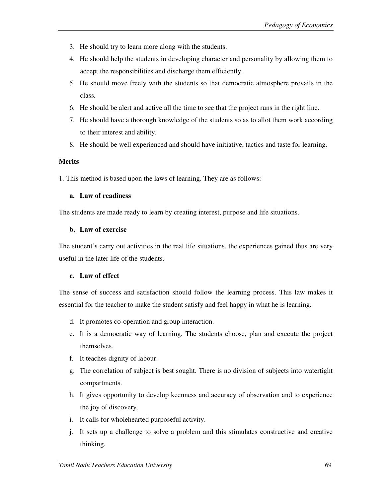- 3. He should try to learn more along with the students.
- 4. He should help the students in developing character and personality by allowing them to accept the responsibilities and discharge them efficiently.
- 5. He should move freely with the students so that democratic atmosphere prevails in the class.
- 6. He should be alert and active all the time to see that the project runs in the right line.
- 7. He should have a thorough knowledge of the students so as to allot them work according to their interest and ability.
- 8. He should be well experienced and should have initiative, tactics and taste for learning.

#### **Merits**

1. This method is based upon the laws of learning. They are as follows:

#### **a. Law of readiness**

The students are made ready to learn by creating interest, purpose and life situations.

#### **b. Law of exercise**

The student's carry out activities in the real life situations, the experiences gained thus are very useful in the later life of the students.

#### **c. Law of effect**

The sense of success and satisfaction should follow the learning process. This law makes it essential for the teacher to make the student satisfy and feel happy in what he is learning.

- d. It promotes co-operation and group interaction.
- e. It is a democratic way of learning. The students choose, plan and execute the project themselves.
- f. It teaches dignity of labour.
- g. The correlation of subject is best sought. There is no division of subjects into watertight compartments.
- h. It gives opportunity to develop keenness and accuracy of observation and to experience the joy of discovery.
- i. It calls for wholehearted purposeful activity.
- j. It sets up a challenge to solve a problem and this stimulates constructive and creative thinking.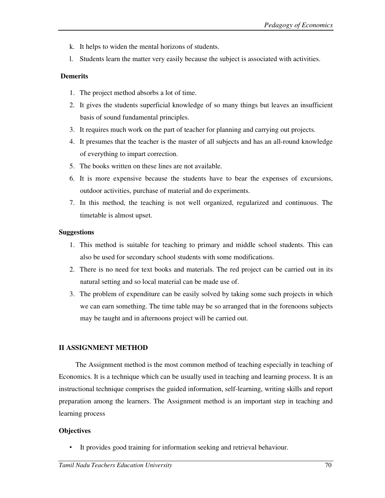- k. It helps to widen the mental horizons of students.
- l. Students learn the matter very easily because the subject is associated with activities.

## **Demerits**

- 1. The project method absorbs a lot of time.
- 2. It gives the students superficial knowledge of so many things but leaves an insufficient basis of sound fundamental principles.
- 3. It requires much work on the part of teacher for planning and carrying out projects.
- 4. It presumes that the teacher is the master of all subjects and has an all-round knowledge of everything to impart correction.
- 5. The books written on these lines are not available.
- 6. It is more expensive because the students have to bear the expenses of excursions, outdoor activities, purchase of material and do experiments.
- 7. In this method, the teaching is not well organized, regularized and continuous. The timetable is almost upset.

## **Suggestions**

- 1. This method is suitable for teaching to primary and middle school students. This can also be used for secondary school students with some modifications.
- 2. There is no need for text books and materials. The red project can be carried out in its natural setting and so local material can be made use of.
- 3. The problem of expenditure can be easily solved by taking some such projects in which we can earn something. The time table may be so arranged that in the forenoons subjects may be taught and in afternoons project will be carried out.

## **II ASSIGNMENT METHOD**

 The Assignment method is the most common method of teaching especially in teaching of Economics. It is a technique which can be usually used in teaching and learning process. It is an instructional technique comprises the guided information, self-learning, writing skills and report preparation among the learners. The Assignment method is an important step in teaching and learning process

## **Objectives**

It provides good training for information seeking and retrieval behaviour.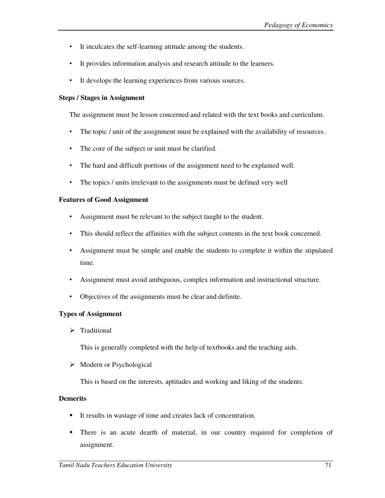- It inculcates the self-learning attitude among the students.
- It provides information analysis and research attitude to the learners.
- It develops the learning experiences from various sources.

#### **Steps / Stages in Assignment**

The assignment must be lesson concerned and related with the text books and curriculum.

- The topic / unit of the assignment must be explained with the availability of resources.
- The core of the subject or unit must be clarified.
- The hard and difficult portions of the assignment need to be explained well.
- The topics / units irrelevant to the assignments must be defined very well

#### **Features of Good Assignment**

- Assignment must be relevant to the subject taught to the student.
- This should reflect the affinities with the subject contents in the text book concerned.
- Assignment must be simple and enable the students to complete it within the stipulated time.
- Assignment must avoid ambiguous, complex information and instructional structure.
- Objectives of the assignments must be clear and definite.

#### **Types of Assignment**

 $\triangleright$  Traditional

This is generally completed with the help of textbooks and the teaching aids.

 $\triangleright$  Modern or Psychological

This is based on the interests, aptitudes and working and liking of the students.

#### **Demerits**

- -It results in wastage of time and creates lack of concentration.
- - There is an acute dearth of material, in our country required for completion of assignment.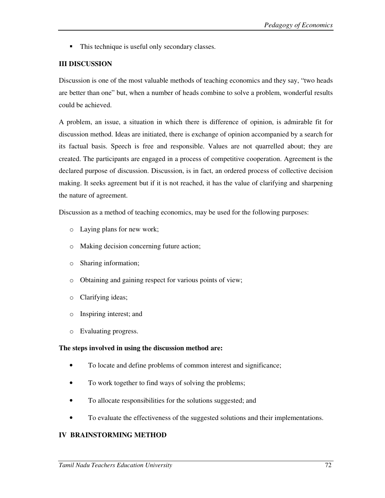$\blacksquare$  This technique is useful only secondary classes.

## **III DISCUSSION**

Discussion is one of the most valuable methods of teaching economics and they say, "two heads are better than one" but, when a number of heads combine to solve a problem, wonderful results could be achieved.

A problem, an issue, a situation in which there is difference of opinion, is admirable fit for discussion method. Ideas are initiated, there is exchange of opinion accompanied by a search for its factual basis. Speech is free and responsible. Values are not quarrelled about; they are created. The participants are engaged in a process of competitive cooperation. Agreement is the declared purpose of discussion. Discussion, is in fact, an ordered process of collective decision making. It seeks agreement but if it is not reached, it has the value of clarifying and sharpening the nature of agreement.

Discussion as a method of teaching economics, may be used for the following purposes:

- o Laying plans for new work;
- o Making decision concerning future action;
- o Sharing information;
- o Obtaining and gaining respect for various points of view;
- o Clarifying ideas;
- o Inspiring interest; and
- o Evaluating progress.

#### **The steps involved in using the discussion method are:**

- To locate and define problems of common interest and significance;
- To work together to find ways of solving the problems;
- To allocate responsibilities for the solutions suggested; and
- To evaluate the effectiveness of the suggested solutions and their implementations.

## **IV BRAINSTORMING METHOD**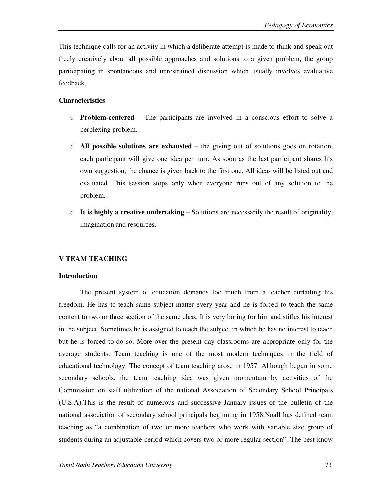This technique calls for an activity in which a deliberate attempt is made to think and speak out freely creatively about all possible approaches and solutions to a given problem, the group participating in spontaneous and unrestrained discussion which usually involves evaluative feedback.

# **Characteristics**

- o **Problem-centered** The participants are involved in a conscious effort to solve a perplexing problem.
- o **All possible solutions are exhausted** the giving out of solutions goes on rotation, each participant will give one idea per turn. As soon as the last participant shares his own suggestion, the chance is given back to the first one. All ideas will be listed out and evaluated. This session stops only when everyone runs out of any solution to the problem.
- $\circ$  **It is highly a creative undertaking** Solutions are necessarily the result of originality, imagination and resources.

### **V TEAM TEACHING**

### **Introduction**

The present system of education demands too much from a teacher curtailing his freedom. He has to teach same subject-matter every year and he is forced to teach the same content to two or three section of the same class. It is very boring for him and stifles his interest in the subject. Sometimes he is assigned to teach the subject in which he has no interest to teach but he is forced to do so. More-over the present day classrooms are appropriate only for the average students. Team teaching is one of the most modern techniques in the field of educational technology. The concept of team teaching arose in 1957. Although begun in some secondary schools, the team teaching idea was given momentum by activities of the Commission on staff utilization of the national Association of Secondary School Principals (U.S.A).This is the result of numerous and successive January issues of the bulletin of the national association of secondary school principals beginning in 1958.Noall has defined team teaching as "a combination of two or more teachers who work with variable size group of students during an adjustable period which covers two or more regular section". The best-know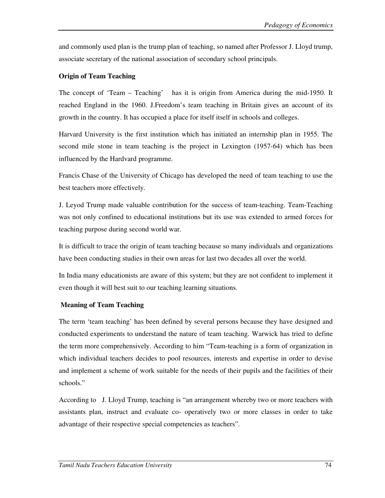and commonly used plan is the trump plan of teaching, so named after Professor J. Lloyd trump, associate secretary of the national association of secondary school principals.

## **Origin of Team Teaching**

The concept of 'Team – Teaching' has it is origin from America during the mid-1950. It reached England in the 1960. J.Freedom's team teaching in Britain gives an account of its growth in the country. It has occupied a place for itself itself in schools and colleges.

Harvard University is the first institution which has initiated an internship plan in 1955. The second mile stone in team teaching is the project in Lexington (1957-64) which has been influenced by the Hardvard programme.

Francis Chase of the University of Chicago has developed the need of team teaching to use the best teachers more effectively.

J. Leyod Trump made valuable contribution for the success of team-teaching. Team-Teaching was not only confined to educational institutions but its use was extended to armed forces for teaching purpose during second world war.

It is difficult to trace the origin of team teaching because so many individuals and organizations have been conducting studies in their own areas for last two decades all over the world.

In India many educationists are aware of this system; but they are not confident to implement it even though it will best suit to our teaching learning situations.

### **Meaning of Team Teaching**

The term 'team teaching' has been defined by several persons because they have designed and conducted experiments to understand the nature of team teaching. Warwick has tried to define the term more comprehensively. According to him "Team-teaching is a form of organization in which individual teachers decides to pool resources, interests and expertise in order to devise and implement a scheme of work suitable for the needs of their pupils and the facilities of their schools."

According to J. Lloyd Trump, teaching is "an arrangement whereby two or more teachers with assistants plan, instruct and evaluate co- operatively two or more classes in order to take advantage of their respective special competencies as teachers".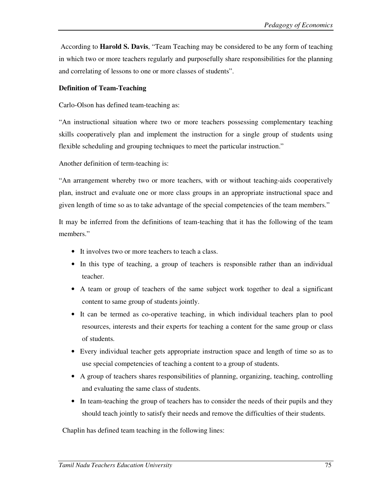According to **Harold S. Davis**, "Team Teaching may be considered to be any form of teaching in which two or more teachers regularly and purposefully share responsibilities for the planning and correlating of lessons to one or more classes of students".

### **Definition of Team-Teaching**

Carlo-Olson has defined team-teaching as:

"An instructional situation where two or more teachers possessing complementary teaching skills cooperatively plan and implement the instruction for a single group of students using flexible scheduling and grouping techniques to meet the particular instruction."

Another definition of term-teaching is:

"An arrangement whereby two or more teachers, with or without teaching-aids cooperatively plan, instruct and evaluate one or more class groups in an appropriate instructional space and given length of time so as to take advantage of the special competencies of the team members."

It may be inferred from the definitions of team-teaching that it has the following of the team members."

- It involves two or more teachers to teach a class.
- In this type of teaching, a group of teachers is responsible rather than an individual teacher.
- A team or group of teachers of the same subject work together to deal a significant content to same group of students jointly.
- It can be termed as co-operative teaching, in which individual teachers plan to pool resources, interests and their experts for teaching a content for the same group or class of students.
- Every individual teacher gets appropriate instruction space and length of time so as to use special competencies of teaching a content to a group of students.
- A group of teachers shares responsibilities of planning, organizing, teaching, controlling and evaluating the same class of students.
- In team-teaching the group of teachers has to consider the needs of their pupils and they should teach jointly to satisfy their needs and remove the difficulties of their students.

Chaplin has defined team teaching in the following lines: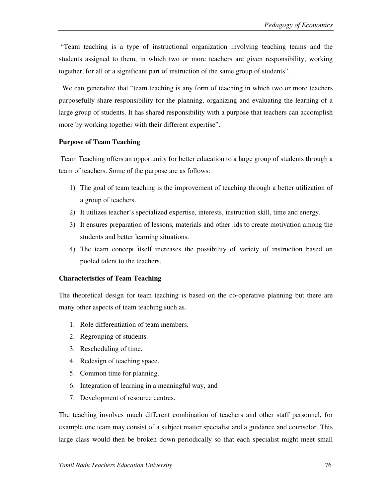"Team teaching is a type of instructional organization involving teaching teams and the students assigned to them, in which two or more teachers are given responsibility, working together, for all or a significant part of instruction of the same group of students".

 We can generalize that "team teaching is any form of teaching in which two or more teachers purposefully share responsibility for the planning, organizing and evaluating the learning of a large group of students. It has shared responsibility with a purpose that teachers can accomplish more by working together with their different expertise".

## **Purpose of Team Teaching**

 Team Teaching offers an opportunity for better education to a large group of students through a team of teachers. Some of the purpose are as follows:

- 1) The goal of team teaching is the improvement of teaching through a better utilization of a group of teachers.
- 2) It utilizes teacher's specialized expertise, interests, instruction skill, time and energy.
- 3) It ensures preparation of lessons, materials and other .ids to create motivation among the students and better learning situations.
- 4) The team concept itself increases the possibility of variety of instruction based on pooled talent to the teachers.

# **Characteristics of Team Teaching**

The theoretical design for team teaching is based on the co-operative planning but there are many other aspects of team teaching such as.

- 1. Role differentiation of team members.
- 2. Regrouping of students.
- 3. Rescheduling of time.
- 4. Redesign of teaching space.
- 5. Common time for planning.
- 6. Integration of learning in a meaningful way, and
- 7. Development of resource centres.

The teaching involves much different combination of teachers and other staff personnel, for example one team may consist of a subject matter specialist and a guidance and counselor. This large class would then be broken down periodically so that each specialist might meet small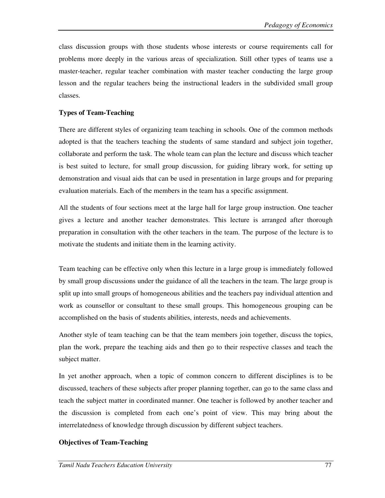class discussion groups with those students whose interests or course requirements call for problems more deeply in the various areas of specialization. Still other types of teams use a master-teacher, regular teacher combination with master teacher conducting the large group lesson and the regular teachers being the instructional leaders in the subdivided small group classes.

## **Types of Team-Teaching**

There are different styles of organizing team teaching in schools. One of the common methods adopted is that the teachers teaching the students of same standard and subject join together, collaborate and perform the task. The whole team can plan the lecture and discuss which teacher is best suited to lecture, for small group discussion, for guiding library work, for setting up demonstration and visual aids that can be used in presentation in large groups and for preparing evaluation materials. Each of the members in the team has a specific assignment.

All the students of four sections meet at the large hall for large group instruction. One teacher gives a lecture and another teacher demonstrates. This lecture is arranged after thorough preparation in consultation with the other teachers in the team. The purpose of the lecture is to motivate the students and initiate them in the learning activity.

Team teaching can be effective only when this lecture in a large group is immediately followed by small group discussions under the guidance of all the teachers in the team. The large group is split up into small groups of homogeneous abilities and the teachers pay individual attention and work as counsellor or consultant to these small groups. This homogeneous grouping can be accomplished on the basis of students abilities, interests, needs and achievements.

Another style of team teaching can be that the team members join together, discuss the topics, plan the work, prepare the teaching aids and then go to their respective classes and teach the subject matter.

In yet another approach, when a topic of common concern to different disciplines is to be discussed, teachers of these subjects after proper planning together, can go to the same class and teach the subject matter in coordinated manner. One teacher is followed by another teacher and the discussion is completed from each one's point of view. This may bring about the interrelatedness of knowledge through discussion by different subject teachers.

### **Objectives of Team-Teaching**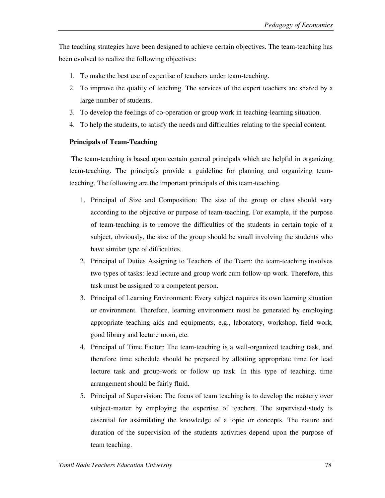The teaching strategies have been designed to achieve certain objectives. The team-teaching has been evolved to realize the following objectives:

- 1. To make the best use of expertise of teachers under team-teaching.
- 2. To improve the quality of teaching. The services of the expert teachers are shared by a large number of students.
- 3. To develop the feelings of co-operation or group work in teaching-learning situation.
- 4. To help the students, to satisfy the needs and difficulties relating to the special content.

## **Principals of Team-Teaching**

 The team-teaching is based upon certain general principals which are helpful in organizing team-teaching. The principals provide a guideline for planning and organizing teamteaching. The following are the important principals of this team-teaching.

- 1. Principal of Size and Composition: The size of the group or class should vary according to the objective or purpose of team-teaching. For example, if the purpose of team-teaching is to remove the difficulties of the students in certain topic of a subject, obviously, the size of the group should be small involving the students who have similar type of difficulties.
- 2. Principal of Duties Assigning to Teachers of the Team: the team-teaching involves two types of tasks: lead lecture and group work cum follow-up work. Therefore, this task must be assigned to a competent person.
- 3. Principal of Learning Environment: Every subject requires its own learning situation or environment. Therefore, learning environment must be generated by employing appropriate teaching aids and equipments, e.g., laboratory, workshop, field work, good library and lecture room, etc.
- 4. Principal of Time Factor: The team-teaching is a well-organized teaching task, and therefore time schedule should be prepared by allotting appropriate time for lead lecture task and group-work or follow up task. In this type of teaching, time arrangement should be fairly fluid.
- 5. Principal of Supervision: The focus of team teaching is to develop the mastery over subject-matter by employing the expertise of teachers. The supervised-study is essential for assimilating the knowledge of a topic or concepts. The nature and duration of the supervision of the students activities depend upon the purpose of team teaching.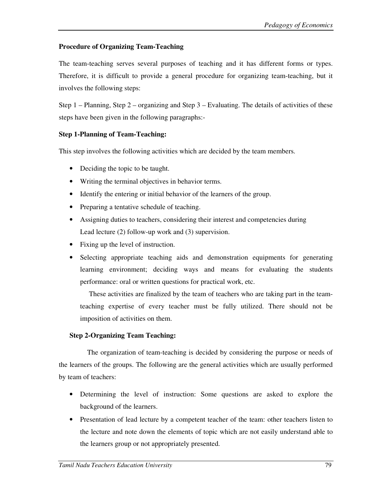# **Procedure of Organizing Team-Teaching**

The team-teaching serves several purposes of teaching and it has different forms or types. Therefore, it is difficult to provide a general procedure for organizing team-teaching, but it involves the following steps:

Step 1 – Planning, Step 2 – organizing and Step 3 – Evaluating. The details of activities of these steps have been given in the following paragraphs:-

# **Step 1-Planning of Team-Teaching:**

This step involves the following activities which are decided by the team members.

- Deciding the topic to be taught.
- Writing the terminal objectives in behavior terms.
- Identify the entering or initial behavior of the learners of the group.
- Preparing a tentative schedule of teaching.
- Assigning duties to teachers, considering their interest and competencies during Lead lecture (2) follow-up work and (3) supervision.
- Fixing up the level of instruction.
- Selecting appropriate teaching aids and demonstration equipments for generating learning environment; deciding ways and means for evaluating the students performance: oral or written questions for practical work, etc.

 These activities are finalized by the team of teachers who are taking part in the teamteaching expertise of every teacher must be fully utilized. There should not be imposition of activities on them.

# **Step 2-Organizing Team Teaching:**

 The organization of team-teaching is decided by considering the purpose or needs of the learners of the groups. The following are the general activities which are usually performed by team of teachers:

- Determining the level of instruction: Some questions are asked to explore the background of the learners.
- Presentation of lead lecture by a competent teacher of the team: other teachers listen to the lecture and note down the elements of topic which are not easily understand able to the learners group or not appropriately presented.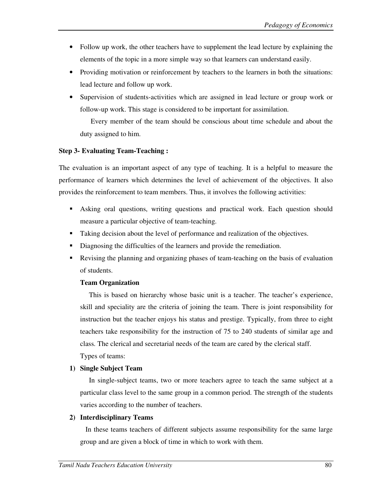- Follow up work, the other teachers have to supplement the lead lecture by explaining the elements of the topic in a more simple way so that learners can understand easily.
- Providing motivation or reinforcement by teachers to the learners in both the situations: lead lecture and follow up work.
- Supervision of students-activities which are assigned in lead lecture or group work or follow-up work. This stage is considered to be important for assimilation.

 Every member of the team should be conscious about time schedule and about the duty assigned to him.

## **Step 3- Evaluating Team-Teaching :**

The evaluation is an important aspect of any type of teaching. It is a helpful to measure the performance of learners which determines the level of achievement of the objectives. It also provides the reinforcement to team members. Thus, it involves the following activities:

- **-** Asking oral questions, writing questions and practical work. Each question should measure a particular objective of team-teaching.
- Taking decision about the level of performance and realization of the objectives.
- -Diagnosing the difficulties of the learners and provide the remediation.
- - Revising the planning and organizing phases of team-teaching on the basis of evaluation of students.

# **Team Organization**

 This is based on hierarchy whose basic unit is a teacher. The teacher's experience, skill and speciality are the criteria of joining the team. There is joint responsibility for instruction but the teacher enjoys his status and prestige. Typically, from three to eight teachers take responsibility for the instruction of 75 to 240 students of similar age and class. The clerical and secretarial needs of the team are cared by the clerical staff. Types of teams:

# **1) Single Subject Team**

 In single-subject teams, two or more teachers agree to teach the same subject at a particular class level to the same group in a common period. The strength of the students varies according to the number of teachers.

# **2) Interdisciplinary Teams**

 In these teams teachers of different subjects assume responsibility for the same large group and are given a block of time in which to work with them.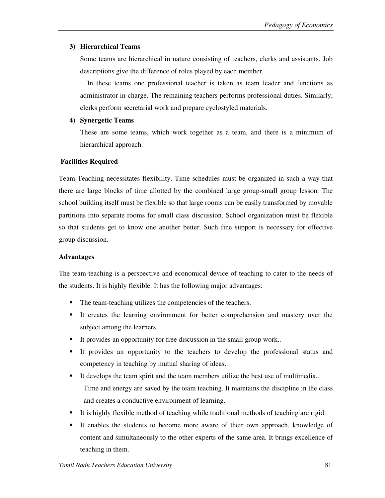## **3) Hierarchical Teams**

Some teams are hierarchical in nature consisting of teachers, clerks and assistants. Job descriptions give the difference of roles played by each member.

 In these teams one professional teacher is taken as team leader and functions as administrator in-charge. The remaining teachers performs professional duties. Similarly, clerks perform secretarial work and prepare cyclostyled materials.

### **4) Synergetic Teams**

These are some teams, which work together as a team, and there is a minimum of hierarchical approach.

## **Facilities Required**

Team Teaching necessitates flexibility. Time schedules must be organized in such a way that there are large blocks of time allotted by the combined large group-small group lesson. The school building itself must be flexible so that large rooms can be easily transformed by movable partitions into separate rooms for small class discussion. School organization must be flexible so that students get to know one another better. Such fine support is necessary for effective group discussion.

### **Advantages**

The team-teaching is a perspective and economical device of teaching to cater to the needs of the students. It is highly flexible. It has the following major advantages:

- -The team-teaching utilizes the competencies of the teachers.
- - It creates the learning environment for better comprehension and mastery over the subject among the learners.
- -It provides an opportunity for free discussion in the small group work..
- - It provides an opportunity to the teachers to develop the professional status and competency in teaching by mutual sharing of ideas..
- - It develops the team spirit and the team members utilize the best use of multimedia.. Time and energy are saved by the team teaching. It maintains the discipline in the class and creates a conductive environment of learning.
- -It is highly flexible method of teaching while traditional methods of teaching are rigid.
- - It enables the students to become more aware of their own approach, knowledge of content and simultaneously to the other experts of the same area. It brings excellence of teaching in them.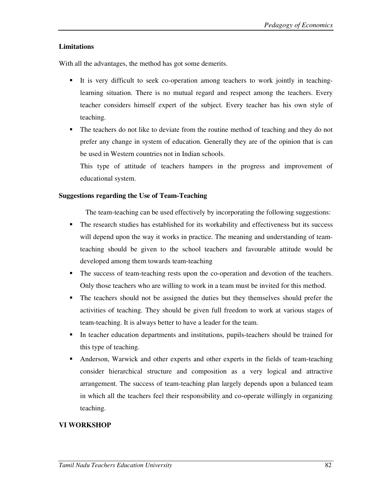# **Limitations**

With all the advantages, the method has got some demerits.

- - It is very difficult to seek co-operation among teachers to work jointly in teachinglearning situation. There is no mutual regard and respect among the teachers. Every teacher considers himself expert of the subject. Every teacher has his own style of teaching.
- - The teachers do not like to deviate from the routine method of teaching and they do not prefer any change in system of education. Generally they are of the opinion that is can be used in Western countries not in Indian schools.

This type of attitude of teachers hampers in the progress and improvement of educational system.

# **Suggestions regarding the Use of Team-Teaching**

The team-teaching can be used effectively by incorporating the following suggestions:

- - The research studies has established for its workability and effectiveness but its success will depend upon the way it works in practice. The meaning and understanding of teamteaching should be given to the school teachers and favourable attitude would be developed among them towards team-teaching
- The success of team-teaching rests upon the co-operation and devotion of the teachers. Only those teachers who are willing to work in a team must be invited for this method.
- The teachers should not be assigned the duties but they themselves should prefer the activities of teaching. They should be given full freedom to work at various stages of team-teaching. It is always better to have a leader for the team.
- - In teacher education departments and institutions, pupils-teachers should be trained for this type of teaching.
- - Anderson, Warwick and other experts and other experts in the fields of team-teaching consider hierarchical structure and composition as a very logical and attractive arrangement. The success of team-teaching plan largely depends upon a balanced team in which all the teachers feel their responsibility and co-operate willingly in organizing teaching.

# **VI WORKSHOP**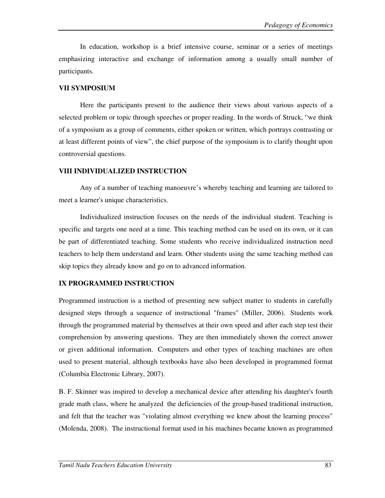In education, workshop is a brief intensive course, seminar or a series of meetings emphasizing interactive and exchange of information among a usually small number of participants.

# **VII SYMPOSIUM**

 Here the participants present to the audience their views about various aspects of a selected problem or topic through speeches or proper reading. In the words of Struck, "we think of a symposium as a group of comments, either spoken or written, which portrays contrasting or at least different points of view", the chief purpose of the symposium is to clarify thought upon controversial questions.

# **VIII INDIVIDUALIZED INSTRUCTION**

 Any of a number of teaching manoeuvre's whereby teaching and learning are tailored to meet a learner's unique characteristics.

Individualized instruction focuses on the needs of the individual student. Teaching is specific and targets one need at a time. This teaching method can be used on its own, or it can be part of differentiated teaching. Some students who receive individualized instruction need teachers to help them understand and learn. Other students using the same teaching method can skip topics they already know and go on to advanced information.

# **IX PROGRAMMED INSTRUCTION**

Programmed instruction is a method of presenting new subject matter to students in carefully designed steps through a sequence of instructional "frames" (Miller, 2006). Students work through the programmed material by themselves at their own speed and after each step test their comprehension by answering questions. They are then immediately shown the correct answer or given additional information. Computers and other types of teaching machines are often used to present material, although textbooks have also been developed in programmed format (Columbia Electronic Library, 2007).

B. F. Skinner was inspired to develop a mechanical device after attending his daughter's fourth grade math class, where he analyzed the deficiencies of the group-based traditional instruction, and felt that the teacher was "violating almost everything we knew about the learning process" (Molenda, 2008). The instructional format used in his machines became known as programmed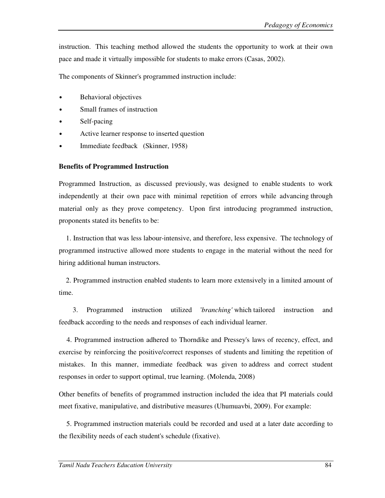instruction. This teaching method allowed the students the opportunity to work at their own pace and made it virtually impossible for students to make errors (Casas, 2002).

The components of Skinner's programmed instruction include:

- Behavioral objectives
- Small frames of instruction
- Self-pacing
- Active learner response to inserted question
- Immediate feedback (Skinner, 1958)

# **Benefits of Programmed Instruction**

Programmed Instruction, as discussed previously, was designed to enable students to work independently at their own pace with minimal repetition of errors while advancing through material only as they prove competency. Upon first introducing programmed instruction, proponents stated its benefits to be:

 1. Instruction that was less labour-intensive, and therefore, less expensive. The technology of programmed instructive allowed more students to engage in the material without the need for hiring additional human instructors.

 2. Programmed instruction enabled students to learn more extensively in a limited amount of time.

 3. Programmed instruction utilized '*branching'* which tailored instruction and feedback according to the needs and responses of each individual learner.

 4. Programmed instruction adhered to Thorndike and Pressey's laws of recency, effect, and exercise by reinforcing the positive/correct responses of students and limiting the repetition of mistakes. In this manner, immediate feedback was given to address and correct student responses in order to support optimal, true learning. (Molenda, 2008)

Other benefits of benefits of programmed instruction included the idea that PI materials could meet fixative, manipulative, and distributive measures (Uhumuavbi, 2009). For example:

 5. Programmed instruction materials could be recorded and used at a later date according to the flexibility needs of each student's schedule (fixative).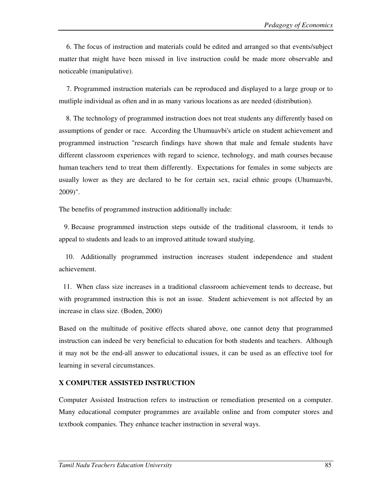6. The focus of instruction and materials could be edited and arranged so that events/subject matter that might have been missed in live instruction could be made more observable and noticeable (manipulative).

 7. Programmed instruction materials can be reproduced and displayed to a large group or to mutliple individual as often and in as many various locations as are needed (distribution).

 8. The technology of programmed instruction does not treat students any differently based on assumptions of gender or race. According the Uhumuavbi's article on student achievement and programmed instruction "research findings have shown that male and female students have different classroom experiences with regard to science, technology, and math courses because human teachers tend to treat them differently. Expectations for females in some subjects are usually lower as they are declared to be for certain sex, racial ethnic groups (Uhumuavbi, 2009)".

The benefits of programmed instruction additionally include:

 9. Because programmed instruction steps outside of the traditional classroom, it tends to appeal to students and leads to an improved attitude toward studying.

 10. Additionally programmed instruction increases student independence and student achievement.

 11. When class size increases in a traditional classroom achievement tends to decrease, but with programmed instruction this is not an issue. Student achievement is not affected by an increase in class size. (Boden, 2000)

Based on the multitude of positive effects shared above, one cannot deny that programmed instruction can indeed be very beneficial to education for both students and teachers. Although it may not be the end-all answer to educational issues, it can be used as an effective tool for learning in several circumstances.

### **X COMPUTER ASSISTED INSTRUCTION**

Computer Assisted Instruction refers to instruction or remediation presented on a computer. Many educational computer programmes are available online and from computer stores and textbook companies. They enhance teacher instruction in several ways.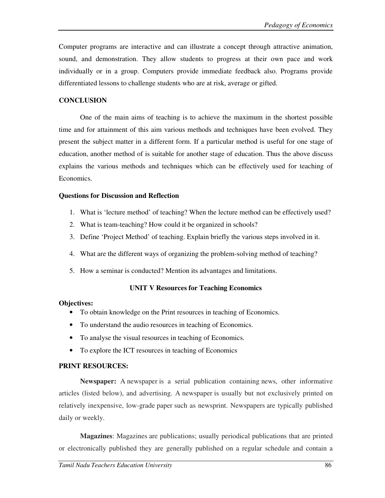Computer programs are interactive and can illustrate a concept through attractive animation, sound, and demonstration. They allow students to progress at their own pace and work individually or in a group. Computers provide immediate feedback also. Programs provide differentiated lessons to challenge students who are at risk, average or gifted.

## **CONCLUSION**

One of the main aims of teaching is to achieve the maximum in the shortest possible time and for attainment of this aim various methods and techniques have been evolved. They present the subject matter in a different form. If a particular method is useful for one stage of education, another method of is suitable for another stage of education. Thus the above discuss explains the various methods and techniques which can be effectively used for teaching of Economics.

## **Questions for Discussion and Reflection**

- 1. What is 'lecture method' of teaching? When the lecture method can be effectively used?
- 2. What is team-teaching? How could it be organized in schools?
- 3. Define 'Project Method' of teaching. Explain briefly the various steps involved in it.
- 4. What are the different ways of organizing the problem-solving method of teaching?
- 5. How a seminar is conducted? Mention its advantages and limitations.

### **UNIT V Resources for Teaching Economics**

### **Objectives:**

- To obtain knowledge on the Print resources in teaching of Economics.
- To understand the audio resources in teaching of Economics.
- To analyse the visual resources in teaching of Economics.
- To explore the ICT resources in teaching of Economics

### **PRINT RESOURCES:**

**Newspaper:** A newspaper is a serial publication containing news, other informative articles (listed below), and advertising. A newspaper is usually but not exclusively printed on relatively inexpensive, low-grade paper such as newsprint. Newspapers are typically published daily or weekly.

**Magazines**: Magazines are publications; usually periodical publications that are printed or electronically published they are generally published on a regular schedule and contain a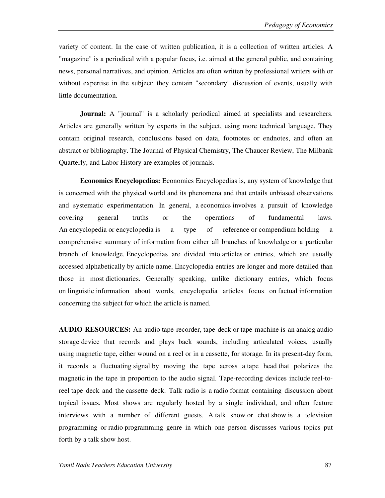variety of content. In the case of written publication, it is a collection of written articles. A "magazine" is a periodical with a popular focus, i.e. aimed at the general public, and containing news, personal narratives, and opinion. Articles are often written by professional writers with or without expertise in the subject; they contain "secondary" discussion of events, usually with little documentation.

**Journal:** A "journal" is a scholarly periodical aimed at specialists and researchers. Articles are generally written by experts in the subject, using more technical language. They contain original research, conclusions based on data, footnotes or endnotes, and often an abstract or bibliography. The Journal of Physical Chemistry, The Chaucer Review, The Milbank Quarterly, and Labor History are examples of journals.

**Economics Encyclopedias:** Economics Encyclopedias is, any system of knowledge that is concerned with the physical world and its phenomena and that entails unbiased observations and systematic experimentation. In general, a economics involves a pursuit of knowledge covering general truths or the operations of fundamental laws. An encyclopedia or encyclopedia is a type of reference or compendium holding a comprehensive summary of information from either all branches of knowledge or a particular branch of knowledge. Encyclopedias are divided into articles or entries, which are usually accessed alphabetically by article name. Encyclopedia entries are longer and more detailed than those in most dictionaries. Generally speaking, unlike dictionary entries, which focus on linguistic information about words, encyclopedia articles focus on factual information concerning the subject for which the article is named.

**AUDIO RESOURCES:** An audio tape recorder, tape deck or tape machine is an analog audio storage device that records and plays back sounds, including articulated voices, usually using magnetic tape, either wound on a reel or in a cassette, for storage. In its present-day form, it records a fluctuating signal by moving the tape across a tape head that polarizes the magnetic in the tape in proportion to the audio signal. Tape-recording devices include reel-toreel tape deck and the cassette deck. Talk radio is a radio format containing discussion about topical issues. Most shows are regularly hosted by a single individual, and often feature interviews with a number of different guests. A talk show or chat show is a television programming or radio programming genre in which one person discusses various topics put forth by a talk show host.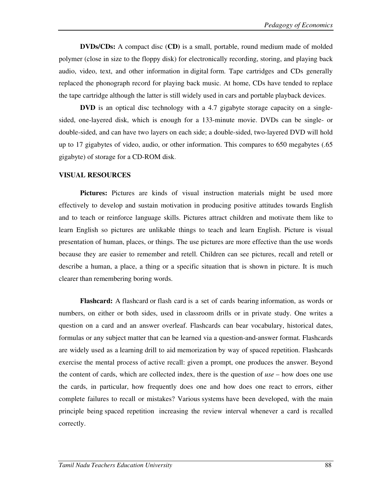**DVDs/CDs:** A compact disc (**CD)** is a small, portable, round medium made of molded polymer (close in size to the floppy disk) for electronically recording, storing, and playing back audio, video, text, and other information in digital form. Tape cartridges and CDs generally replaced the phonograph record for playing back music. At home, CDs have tended to replace the tape cartridge although the latter is still widely used in cars and portable playback devices.

**DVD** is an optical disc technology with a 4.7 gigabyte storage capacity on a singlesided, one-layered disk, which is enough for a 133-minute movie. DVDs can be single- or double-sided, and can have two layers on each side; a double-sided, two-layered DVD will hold up to 17 gigabytes of video, audio, or other information. This compares to 650 megabytes (.65 gigabyte) of storage for a CD-ROM disk.

### **VISUAL RESOURCES**

**Pictures:** Pictures are kinds of visual instruction materials might be used more effectively to develop and sustain motivation in producing positive attitudes towards English and to teach or reinforce language skills. Pictures attract children and motivate them like to learn English so pictures are unlikable things to teach and learn English. Picture is visual presentation of human, places, or things. The use pictures are more effective than the use words because they are easier to remember and retell. Children can see pictures, recall and retell or describe a human, a place, a thing or a specific situation that is shown in picture. It is much clearer than remembering boring words.

**Flashcard:** A flashcard or flash card is a set of cards bearing information, as words or numbers, on either or both sides, used in classroom drills or in private study. One writes a question on a card and an answer overleaf. Flashcards can bear vocabulary, historical dates, formulas or any subject matter that can be learned via a question-and-answer format. Flashcards are widely used as a learning drill to aid memorization by way of spaced repetition. Flashcards exercise the mental process of active recall: given a prompt, one produces the answer. Beyond the content of cards, which are collected index, there is the question of *use* – how does one use the cards, in particular, how frequently does one and how does one react to errors, either complete failures to recall or mistakes? Various systems have been developed, with the main principle being spaced repetition increasing the review interval whenever a card is recalled correctly.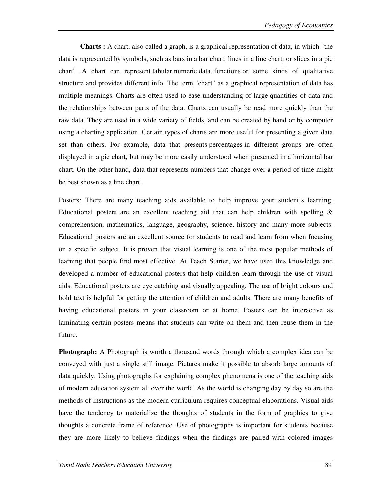**Charts :** A chart, also called a graph, is a graphical representation of data, in which "the data is represented by symbols, such as bars in a bar chart, lines in a line chart, or slices in a pie chart". A chart can represent tabular numeric data, functions or some kinds of qualitative structure and provides different info. The term "chart" as a graphical representation of data has multiple meanings. Charts are often used to ease understanding of large quantities of data and the relationships between parts of the data. Charts can usually be read more quickly than the raw data. They are used in a wide variety of fields, and can be created by hand or by computer using a charting application. Certain types of charts are more useful for presenting a given data set than others. For example, data that presents percentages in different groups are often displayed in a pie chart, but may be more easily understood when presented in a horizontal bar chart. On the other hand, data that represents numbers that change over a period of time might be best shown as a line chart.

Posters: There are many teaching aids available to help improve your student's learning. Educational posters are an excellent teaching aid that can help children with spelling & comprehension, mathematics, language, geography, science, history and many more subjects. Educational posters are an excellent source for students to read and learn from when focusing on a specific subject. It is proven that visual learning is one of the most popular methods of learning that people find most effective. At Teach Starter, we have used this knowledge and developed a number of educational posters that help children learn through the use of visual aids. Educational posters are eye catching and visually appealing. The use of bright colours and bold text is helpful for getting the attention of children and adults. There are many benefits of having educational posters in your classroom or at home. Posters can be interactive as laminating certain posters means that students can write on them and then reuse them in the future.

**Photograph:** A Photograph is worth a thousand words through which a complex idea can be conveyed with just a single still image. Pictures make it possible to absorb large amounts of data quickly. Using photographs for explaining complex phenomena is one of the teaching aids of modern education system all over the world. As the world is changing day by day so are the methods of instructions as the modern curriculum requires conceptual elaborations. Visual aids have the tendency to materialize the thoughts of students in the form of graphics to give thoughts a concrete frame of reference. Use of photographs is important for students because they are more likely to believe findings when the findings are paired with colored images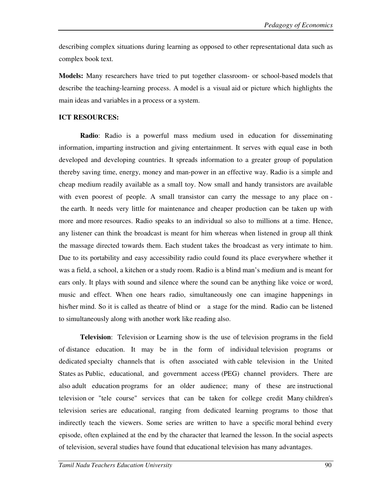describing complex situations during learning as opposed to other representational data such as complex book text.

**Models:** Many researchers have tried to put together classroom- or school-based models that describe the teaching-learning process. A model is a visual aid or picture which highlights the main ideas and variables in a process or a system.

### **ICT RESOURCES:**

**Radio**: Radio is a powerful mass medium used in education for disseminating information, imparting instruction and giving entertainment. It serves with equal ease in both developed and developing countries. It spreads information to a greater group of population thereby saving time, energy, money and man-power in an effective way. Radio is a simple and cheap medium readily available as a small toy. Now small and handy transistors are available with even poorest of people. A small transistor can carry the message to any place on the earth. It needs very little for maintenance and cheaper production can be taken up with more and more resources. Radio speaks to an individual so also to millions at a time. Hence, any listener can think the broadcast is meant for him whereas when listened in group all think the massage directed towards them. Each student takes the broadcast as very intimate to him. Due to its portability and easy accessibility radio could found its place everywhere whether it was a field, a school, a kitchen or a study room. Radio is a blind man's medium and is meant for ears only. It plays with sound and silence where the sound can be anything like voice or word, music and effect. When one hears radio, simultaneously one can imagine happenings in his/her mind. So it is called as theatre of blind or a stage for the mind. Radio can be listened to simultaneously along with another work like reading also.

**Television**: Television or Learning show is the use of television programs in the field of distance education. It may be in the form of individual television programs or dedicated specialty channels that is often associated with cable television in the United States as Public, educational, and government access (PEG) channel providers. There are also adult education programs for an older audience; many of these are instructional television or "tele course" services that can be taken for college credit Many children's television series are educational, ranging from dedicated learning programs to those that indirectly teach the viewers. Some series are written to have a specific moral behind every episode, often explained at the end by the character that learned the lesson. In the social aspects of television, several studies have found that educational television has many advantages.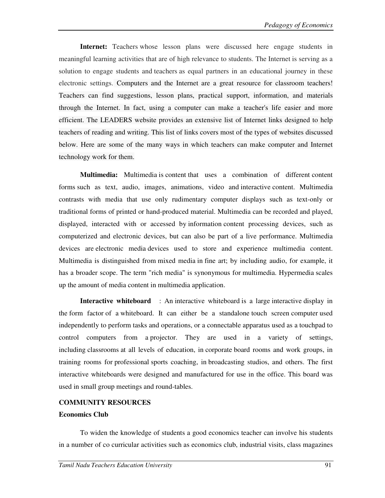**Internet:** Teachers whose lesson plans were discussed here engage students in meaningful learning activities that are of high relevance to students. The Internet is serving as a solution to engage students and teachers as equal partners in an educational journey in these electronic settings. Computers and the Internet are a great resource for classroom teachers! Teachers can find suggestions, lesson plans, practical support, information, and materials through the Internet. In fact, using a computer can make a teacher's life easier and more efficient. The LEADERS website provides an extensive list of Internet links designed to help teachers of reading and writing. This list of links covers most of the types of websites discussed below. Here are some of the many ways in which teachers can make computer and Internet technology work for them.

**Multimedia:** Multimedia is content that uses a combination of different content forms such as text, audio, images, animations, video and interactive content. Multimedia contrasts with media that use only rudimentary computer displays such as text-only or traditional forms of printed or hand-produced material. Multimedia can be recorded and played, displayed, interacted with or accessed by information content processing devices, such as computerized and electronic devices, but can also be part of a live performance. Multimedia devices are electronic media devices used to store and experience multimedia content. Multimedia is distinguished from mixed media in fine art; by including audio, for example, it has a broader scope. The term "rich media" is synonymous for multimedia. Hypermedia scales up the amount of media content in multimedia application.

**Interactive whiteboard** : An interactive whiteboard is a large interactive display in the form factor of a whiteboard. It can either be a standalone touch screen computer used independently to perform tasks and operations, or a connectable apparatus used as a touchpad to control computers from a projector. They are used in a variety of settings, including classrooms at all levels of education, in corporate board rooms and work groups, in training rooms for professional sports coaching, in broadcasting studios, and others. The first interactive whiteboards were designed and manufactured for use in the office. This board was used in small group meetings and round-tables.

### **COMMUNITY RESOURCES**

### **Economics Club**

To widen the knowledge of students a good economics teacher can involve his students in a number of co curricular activities such as economics club, industrial visits, class magazines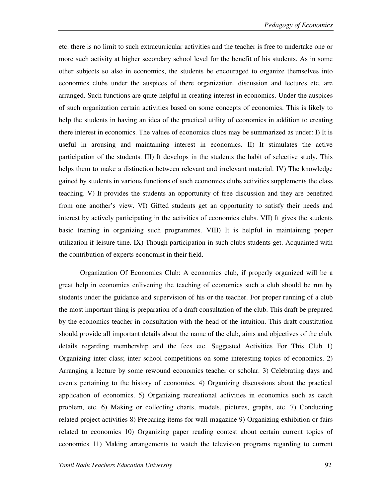etc. there is no limit to such extracurricular activities and the teacher is free to undertake one or more such activity at higher secondary school level for the benefit of his students. As in some other subjects so also in economics, the students be encouraged to organize themselves into economics clubs under the auspices of there organization, discussion and lectures etc. are arranged. Such functions are quite helpful in creating interest in economics. Under the auspices of such organization certain activities based on some concepts of economics. This is likely to help the students in having an idea of the practical utility of economics in addition to creating there interest in economics. The values of economics clubs may be summarized as under: I) It is useful in arousing and maintaining interest in economics. II) It stimulates the active participation of the students. III) It develops in the students the habit of selective study. This helps them to make a distinction between relevant and irrelevant material. IV) The knowledge gained by students in various functions of such economics clubs activities supplements the class teaching. V) It provides the students an opportunity of free discussion and they are benefited from one another's view. VI) Gifted students get an opportunity to satisfy their needs and interest by actively participating in the activities of economics clubs. VII) It gives the students basic training in organizing such programmes. VIII) It is helpful in maintaining proper utilization if leisure time. IX) Though participation in such clubs students get. Acquainted with the contribution of experts economist in their field.

Organization Of Economics Club: A economics club, if properly organized will be a great help in economics enlivening the teaching of economics such a club should be run by students under the guidance and supervision of his or the teacher. For proper running of a club the most important thing is preparation of a draft consultation of the club. This draft be prepared by the economics teacher in consultation with the head of the intuition. This draft constitution should provide all important details about the name of the club, aims and objectives of the club, details regarding membership and the fees etc. Suggested Activities For This Club 1) Organizing inter class; inter school competitions on some interesting topics of economics. 2) Arranging a lecture by some rewound economics teacher or scholar. 3) Celebrating days and events pertaining to the history of economics. 4) Organizing discussions about the practical application of economics. 5) Organizing recreational activities in economics such as catch problem, etc. 6) Making or collecting charts, models, pictures, graphs, etc. 7) Conducting related project activities 8) Preparing items for wall magazine 9) Organizing exhibition or fairs related to economics 10) Organizing paper reading contest about certain current topics of economics 11) Making arrangements to watch the television programs regarding to current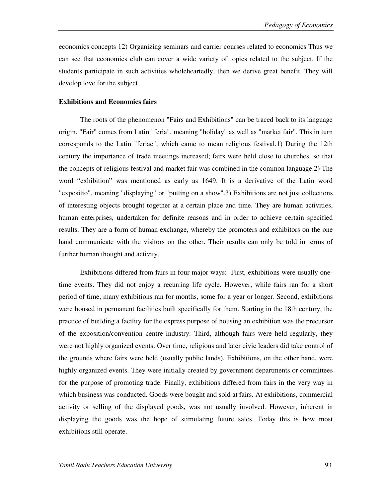economics concepts 12) Organizing seminars and carrier courses related to economics Thus we can see that economics club can cover a wide variety of topics related to the subject. If the students participate in such activities wholeheartedly, then we derive great benefit. They will develop love for the subject

## **Exhibitions and Economics fairs**

The roots of the phenomenon "Fairs and Exhibitions" can be traced back to its language origin. "Fair" comes from Latin "feria", meaning "holiday" as well as "market fair". This in turn corresponds to the Latin "feriae", which came to mean religious festival.1) During the 12th century the importance of trade meetings increased; fairs were held close to churches, so that the concepts of religious festival and market fair was combined in the common language.2) The word "exhibition" was mentioned as early as 1649. It is a derivative of the Latin word "expositio", meaning "displaying" or "putting on a show".3) Exhibitions are not just collections of interesting objects brought together at a certain place and time. They are human activities, human enterprises, undertaken for definite reasons and in order to achieve certain specified results. They are a form of human exchange, whereby the promoters and exhibitors on the one hand communicate with the visitors on the other. Their results can only be told in terms of further human thought and activity.

Exhibitions differed from fairs in four major ways: First, exhibitions were usually onetime events. They did not enjoy a recurring life cycle. However, while fairs ran for a short period of time, many exhibitions ran for months, some for a year or longer. Second, exhibitions were housed in permanent facilities built specifically for them. Starting in the 18th century, the practice of building a facility for the express purpose of housing an exhibition was the precursor of the exposition/convention centre industry. Third, although fairs were held regularly, they were not highly organized events. Over time, religious and later civic leaders did take control of the grounds where fairs were held (usually public lands). Exhibitions, on the other hand, were highly organized events. They were initially created by government departments or committees for the purpose of promoting trade. Finally, exhibitions differed from fairs in the very way in which business was conducted. Goods were bought and sold at fairs. At exhibitions, commercial activity or selling of the displayed goods, was not usually involved. However, inherent in displaying the goods was the hope of stimulating future sales. Today this is how most exhibitions still operate.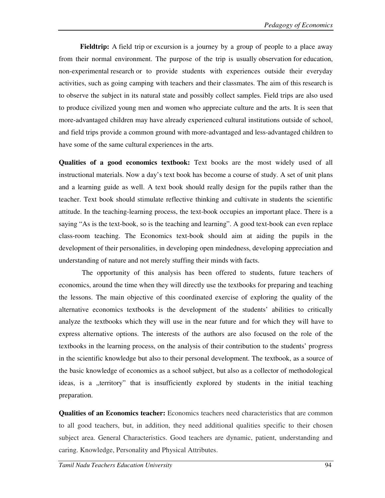**Fieldtrip:** A field trip or excursion is a journey by a group of people to a place away from their normal environment. The purpose of the trip is usually observation for education, non-experimental research or to provide students with experiences outside their everyday activities, such as going camping with teachers and their classmates. The aim of this research is to observe the subject in its natural state and possibly collect samples. Field trips are also used to produce civilized young men and women who appreciate culture and the arts. It is seen that more-advantaged children may have already experienced cultural institutions outside of school, and field trips provide a common ground with more-advantaged and less-advantaged children to have some of the same cultural experiences in the arts.

**Qualities of a good economics textbook:** Text books are the most widely used of all instructional materials. Now a day's text book has become a course of study. A set of unit plans and a learning guide as well. A text book should really design for the pupils rather than the teacher. Text book should stimulate reflective thinking and cultivate in students the scientific attitude. In the teaching-learning process, the text-book occupies an important place. There is a saying "As is the text-book, so is the teaching and learning". A good text-book can even replace class-room teaching. The Economics text-book should aim at aiding the pupils in the development of their personalities, in developing open mindedness, developing appreciation and understanding of nature and not merely stuffing their minds with facts.

 The opportunity of this analysis has been offered to students, future teachers of economics, around the time when they will directly use the textbooks for preparing and teaching the lessons. The main objective of this coordinated exercise of exploring the quality of the alternative economics textbooks is the development of the students' abilities to critically analyze the textbooks which they will use in the near future and for which they will have to express alternative options. The interests of the authors are also focused on the role of the textbooks in the learning process, on the analysis of their contribution to the students' progress in the scientific knowledge but also to their personal development. The textbook, as a source of the basic knowledge of economics as a school subject, but also as a collector of methodological ideas, is a "territory" that is insufficiently explored by students in the initial teaching preparation.

**Qualities of an Economics teacher:** Economics teachers need characteristics that are common to all good teachers, but, in addition, they need additional qualities specific to their chosen subject area. General Characteristics. Good teachers are dynamic, patient, understanding and caring. Knowledge, Personality and Physical Attributes.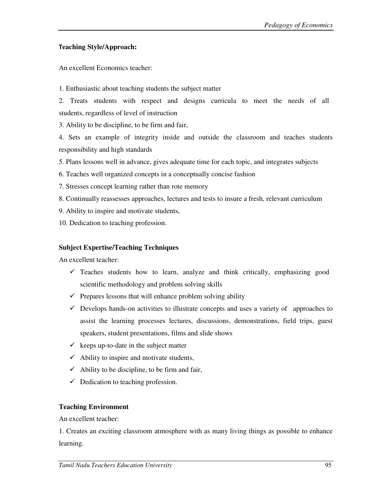## **Teaching Style/Approach:**

An excellent Economics teacher:

1. Enthusiastic about teaching students the subject matter

2. Treats students with respect and designs curricula to meet the needs of all students, regardless of level of instruction

3. Ability to be discipline, to be firm and fair,

4. Sets an example of integrity inside and outside the classroom and teaches students responsibility and high standards

5. Plans lessons well in advance, gives adequate time for each topic, and integrates subjects

- 6. Teaches well organized concepts in a conceptually concise fashion
- 7. Stresses concept learning rather than rote memory
- 8. Continually reassesses approaches, lectures and tests to insure a fresh, relevant curriculum
- 9. Ability to inspire and motivate students,
- 10. Dedication to teaching profession.

## **Subject Expertise/Teaching Techniques**

An excellent teacher:

- $\checkmark$  Teaches students how to learn, analyze and think critically, emphasizing good scientific methodology and problem solving skills
- $\checkmark$  Prepares lessons that will enhance problem solving ability
- $\checkmark$  Develops hands-on activities to illustrate concepts and uses a variety of approaches to assist the learning processes lectures, discussions, demonstrations, field trips, guest speakers, student presentations, films and slide shows
- $\checkmark$  keeps up-to-date in the subject matter
- $\checkmark$  Ability to inspire and motivate students,
- $\checkmark$  Ability to be discipline, to be firm and fair,
- $\checkmark$  Dedication to teaching profession.

### **Teaching Environment**

An excellent teacher:

1. Creates an exciting classroom atmosphere with as many living things as possible to enhance learning.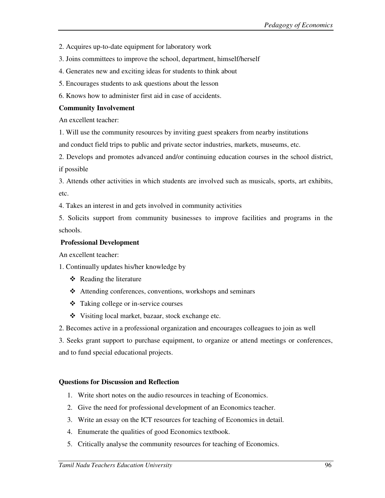- 2. Acquires up-to-date equipment for laboratory work
- 3. Joins committees to improve the school, department, himself/herself
- 4. Generates new and exciting ideas for students to think about
- 5. Encourages students to ask questions about the lesson
- 6. Knows how to administer first aid in case of accidents.

### **Community Involvement**

An excellent teacher:

1. Will use the community resources by inviting guest speakers from nearby institutions

and conduct field trips to public and private sector industries, markets, museums, etc.

2. Develops and promotes advanced and/or continuing education courses in the school district, if possible

3. Attends other activities in which students are involved such as musicals, sports, art exhibits, etc.

4. Takes an interest in and gets involved in community activities

5. Solicits support from community businesses to improve facilities and programs in the schools.

### **Professional Development**

An excellent teacher:

1. Continually updates his/her knowledge by

- $\triangleleft$  Reading the literature
- Attending conferences, conventions, workshops and seminars
- Taking college or in-service courses
- Visiting local market, bazaar, stock exchange etc.

2. Becomes active in a professional organization and encourages colleagues to join as well

3. Seeks grant support to purchase equipment, to organize or attend meetings or conferences, and to fund special educational projects.

### **Questions for Discussion and Reflection**

- 1. Write short notes on the audio resources in teaching of Economics.
- 2. Give the need for professional development of an Economics teacher.
- 3. Write an essay on the ICT resources for teaching of Economics in detail.
- 4. Enumerate the qualities of good Economics textbook.
- 5. Critically analyse the community resources for teaching of Economics.